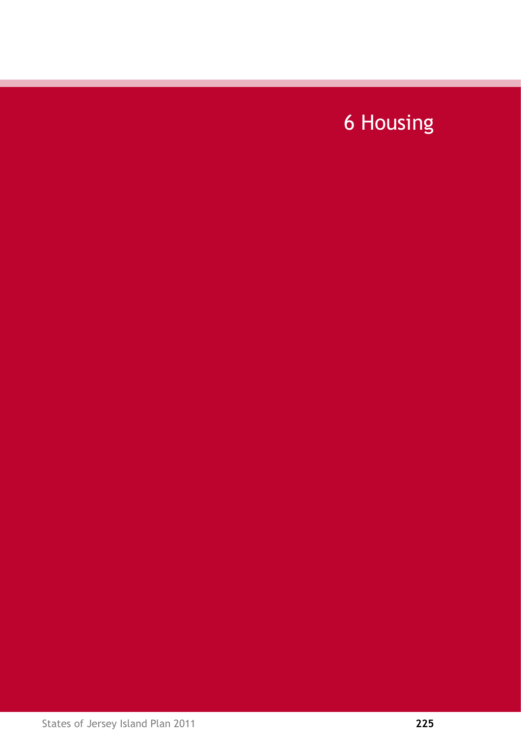# 6 Housing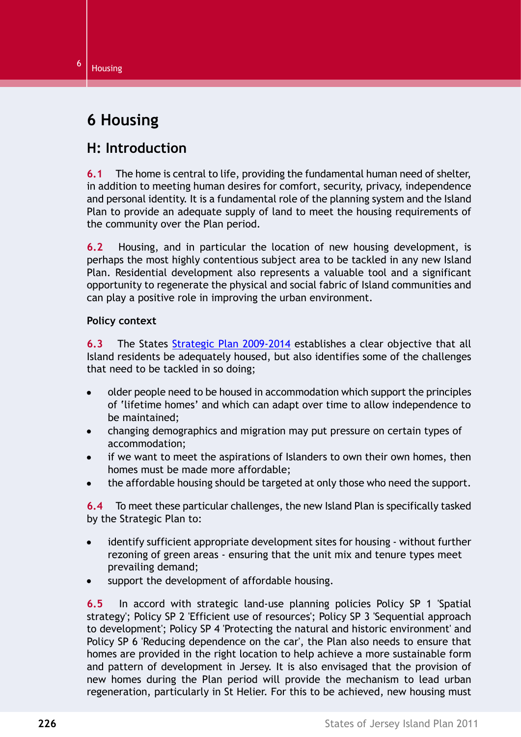# $6 \mid$  Housing

# **6 Housing**

# **H: Introduction**

**6.1** The home is central to life, providing the fundamental human need of shelter, in addition to meeting human desires for comfort, security, privacy, independence and personal identity. It is a fundamental role of the planning system and the Island Plan to provide an adequate supply of land to meet the housing requirements of the community over the Plan period.

**6.2** Housing, and in particular the location of new housing development, is perhaps the most highly contentious subject area to be tackled in any new Island Plan. Residential development also represents a valuable tool and a significant opportunity to regenerate the physical and social fabric of Island communities and can play a positive role in improving the urban environment.

### **Policy context**

**6.3** The States Strategic Plan 2009-2014 establishes a clear objective that all Island residents be adequately housed, but also identifies some of the challenges that need to be tackled in so doing;

- older people need to be housed in accommodation which support the principles  $\bullet$ of 'lifetime homes' and which can adapt over time to allow independence to be maintained;
- changing demographics and migration may put pressure on certain types of  $\bullet$ accommodation;
- if we want to meet the aspirations of Islanders to own their own homes, then homes must be made more affordable;
- the affordable housing should be targeted at only those who need the support.

**6.4** To meet these particular challenges, the new Island Plan is specifically tasked by the Strategic Plan to:

- identify sufficient appropriate development sites for housing without further  $\bullet$ rezoning of green areas - ensuring that the unit mix and tenure types meet prevailing demand;
- support the development of affordable housing.

**6.5** In accord with strategic land-use planning policies Policy SP 1 'Spatial strategy'; Policy SP 2 'Efficient use of resources'; Policy SP 3 'Sequential approach to development'; Policy SP 4 'Protecting the natural and historic environment' and Policy SP 6 'Reducing dependence on the car', the Plan also needs to ensure that homes are provided in the right location to help achieve a more sustainable form and pattern of development in Jersey. It is also envisaged that the provision of new homes during the Plan period will provide the mechanism to lead urban regeneration, particularly in St Helier. For this to be achieved, new housing must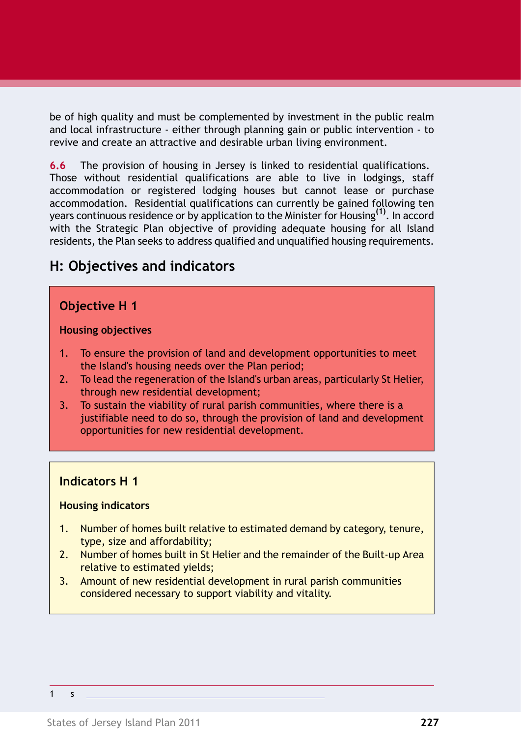be of high quality and must be complemented by investment in the public realm and local infrastructure - either through planning gain or public intervention - to revive and create an attractive and desirable urban living environment.

**6.6** The provision of housing in Jersey is linked to residential qualifications. Those without residential qualifications are able to live in lodgings, staff accommodation or registered lodging houses but cannot lease or purchase accommodation. Residential qualifications can currently be gained following ten years continuous residence or by application to the Minister for Housing**(1)**. In accord with the Strategic Plan objective of providing adequate housing for all Island residents, the Plan seeks to address qualified and unqualified housing requirements.

# **H: Objectives and indicators**

### **Objective H 1**

#### **Housing objectives**

- 1. To ensure the provision of land and development opportunities to meet the Island's housing needs over the Plan period;
- 2. To lead the regeneration of the Island's urban areas, particularly St Helier, through new residential development;
- 3. To sustain the viability of rural parish communities, where there is a justifiable need to do so, through the provision of land and development opportunities for new residential development.

### **Indicators H 1**

### **Housing indicators**

- 1. Number of homes built relative to estimated demand by category, tenure, type, size and affordability;
- 2. Number of homes built in St Helier and the remainder of the Built-up Area relative to estimated yields;
- 3. Amount of new residential development in rural parish communities considered necessary to support viability and vitality.

1 s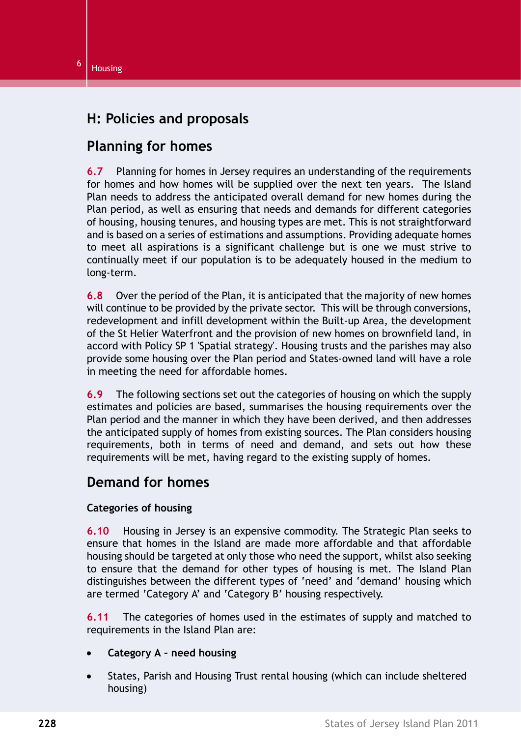# **H: Policies and proposals**

# **Planning for homes**

**6.7** Planning for homes in Jersey requires an understanding of the requirements for homes and how homes will be supplied over the next ten years. The Island Plan needs to address the anticipated overall demand for new homes during the Plan period, as well as ensuring that needs and demands for different categories of housing, housing tenures, and housing types are met. This is not straightforward and is based on a series of estimations and assumptions. Providing adequate homes to meet all aspirations is a significant challenge but is one we must strive to continually meet if our population is to be adequately housed in the medium to long-term.

**6.8** Over the period of the Plan, it is anticipated that the majority of new homes will continue to be provided by the private sector. This will be through conversions, redevelopment and infill development within the Built-up Area, the development of the St Helier Waterfront and the provision of new homes on brownfield land, in accord with Policy SP 1 'Spatial strategy'. Housing trusts and the parishes may also provide some housing over the Plan period and States-owned land will have a role in meeting the need for affordable homes.

**6.9** The following sections set out the categories of housing on which the supply estimates and policies are based, summarises the housing requirements over the Plan period and the manner in which they have been derived, and then addresses the anticipated supply of homes from existing sources. The Plan considers housing requirements, both in terms of need and demand, and sets out how these requirements will be met, having regard to the existing supply of homes.

## **Demand for homes**

### **Categories of housing**

**6.10** Housing in Jersey is an expensive commodity. The Strategic Plan seeks to ensure that homes in the Island are made more affordable and that affordable housing should be targeted at only those who need the support, whilst also seeking to ensure that the demand for other types of housing is met. The Island Plan distinguishes between the different types of 'need' and 'demand' housing which are termed 'Category A' and 'Category B' housing respectively.

**6.11** The categories of homes used in the estimates of supply and matched to requirements in the Island Plan are:

- **Category A need housing**
- States, Parish and Housing Trust rental housing (which can include sheltered housing)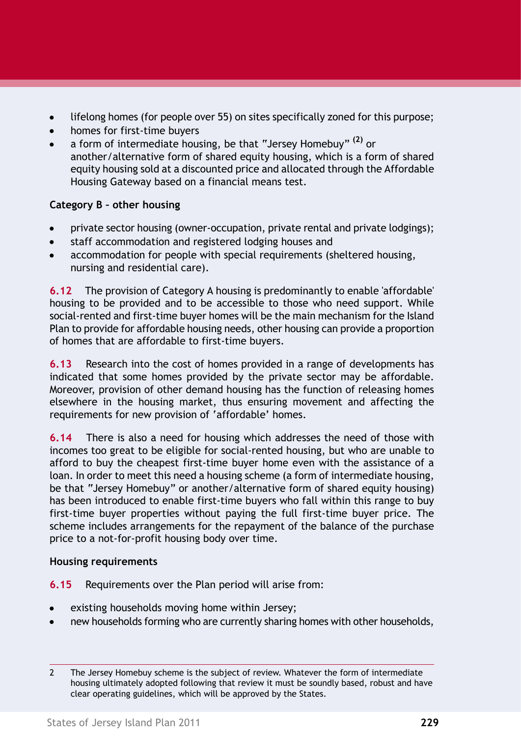- lifelong homes (for people over 55) on sites specifically zoned for this purpose;
- homes for first-time buyers
- a form of intermediate housing, be that "Jersey Homebuy" **(2)** or another/alternative form of shared equity housing, which is a form of shared equity housing sold at a discounted price and allocated through the Affordable Housing Gateway based on a financial means test.

### **Category B – other housing**

- private sector housing (owner-occupation, private rental and private lodgings);
- staff accommodation and registered lodging houses and
- accommodation for people with special requirements (sheltered housing, nursing and residential care).

**6.12** The provision of Category A housing is predominantly to enable 'affordable' housing to be provided and to be accessible to those who need support. While social-rented and first-time buyer homes will be the main mechanism for the Island Plan to provide for affordable housing needs, other housing can provide a proportion of homes that are affordable to first-time buyers.

**6.13** Research into the cost of homes provided in a range of developments has indicated that some homes provided by the private sector may be affordable. Moreover, provision of other demand housing has the function of releasing homes elsewhere in the housing market, thus ensuring movement and affecting the requirements for new provision of 'affordable' homes.

**6.14** There is also a need for housing which addresses the need of those with incomes too great to be eligible for social-rented housing, but who are unable to afford to buy the cheapest first-time buyer home even with the assistance of a loan. In order to meet this need a housing scheme (a form of intermediate housing, be that "Jersey Homebuy" or another/alternative form of shared equity housing) has been introduced to enable first-time buyers who fall within this range to buy first-time buyer properties without paying the full first-time buyer price. The scheme includes arrangements for the repayment of the balance of the purchase price to a not-for-profit housing body over time.

### **Housing requirements**

**6.15** Requirements over the Plan period will arise from:

- existing households moving home within Jersey;
- new households forming who are currently sharing homes with other households,

<sup>2</sup> The Jersey Homebuy scheme is the subject of review. Whatever the form of intermediate housing ultimately adopted following that review it must be soundly based, robust and have clear operating guidelines, which will be approved by the States.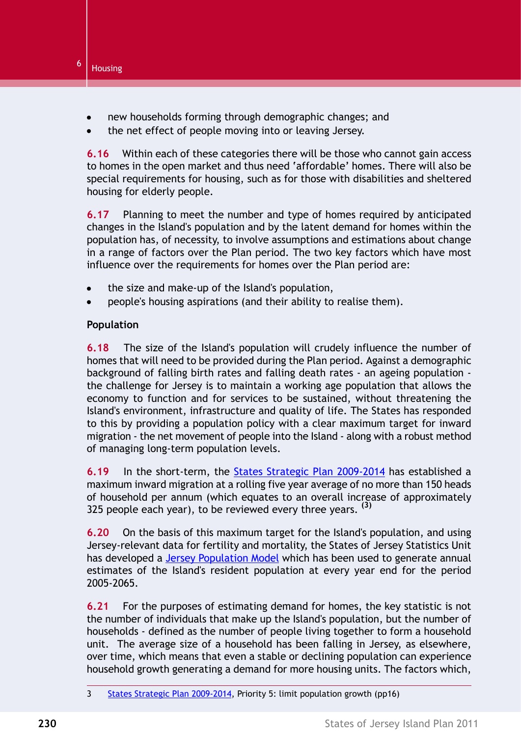

- new households forming through demographic changes; and
- the net effect of people moving into or leaving Jersey.

**6.16** Within each of these categories there will be those who cannot gain access to homes in the open market and thus need 'affordable' homes. There will also be special requirements for housing, such as for those with disabilities and sheltered housing for elderly people.

**6.17** Planning to meet the number and type of homes required by anticipated changes in the Island's population and by the latent demand for homes within the population has, of necessity, to involve assumptions and estimations about change in a range of factors over the Plan period. The two key factors which have most influence over the requirements for homes over the Plan period are:

- the size and make-up of the Island's population,
- people's housing aspirations (and their ability to realise them).

### **Population**

**6.18** The size of the Island's population will crudely influence the number of homes that will need to be provided during the Plan period. Against a demographic background of falling birth rates and falling death rates - an ageing population the challenge for Jersey is to maintain a working age population that allows the economy to function and for services to be sustained, without threatening the Island's environment, infrastructure and quality of life. The States has responded to this by providing a population policy with a clear maximum target for inward migration - the net movement of people into the Island - along with a robust method of managing long-term population levels.

**6.19** In the short-term, the States Strategic Plan 2009-2014 has established a maximum inward migration at a rolling five year average of no more than 150 heads of household per annum (which equates to an overall increase of approximately 325 people each year), to be reviewed every three years. **(3)**

**6.20** On the basis of this maximum target for the Island's population, and using Jersey-relevant data for fertility and mortality, the States of Jersey Statistics Unit has developed a Jersey Population Model which has been used to generate annual estimates of the Island's resident population at every year end for the period 2005-2065.

**6.21** For the purposes of estimating demand for homes, the key statistic is not the number of individuals that make up the Island's population, but the number of households - defined as the number of people living together to form a household unit. The average size of a household has been falling in Jersey, as elsewhere, over time, which means that even a stable or declining population can experience household growth generating a demand for more housing units. The factors which,

<sup>3</sup> States Strategic Plan 2009-2014, Priority 5: limit population growth (pp16)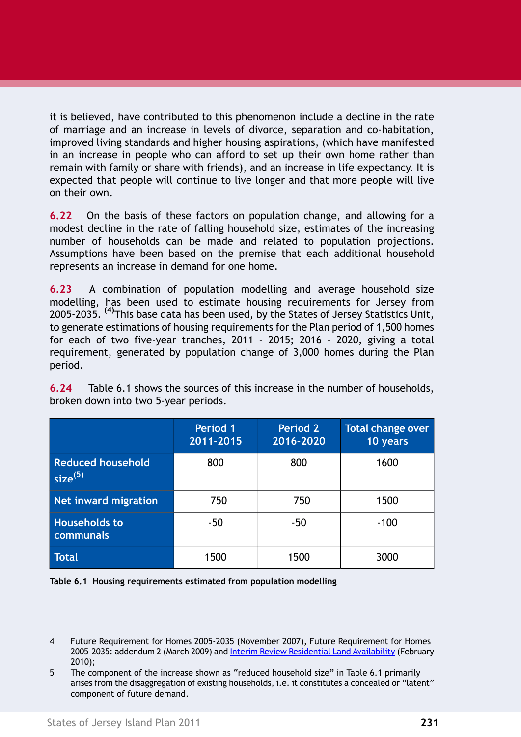it is believed, have contributed to this phenomenon include a decline in the rate of marriage and an increase in levels of divorce, separation and co-habitation, improved living standards and higher housing aspirations, (which have manifested in an increase in people who can afford to set up their own home rather than remain with family or share with friends), and an increase in life expectancy. It is expected that people will continue to live longer and that more people will live on their own.

**6.22** On the basis of these factors on population change, and allowing for a modest decline in the rate of falling household size, estimates of the increasing number of households can be made and related to population projections. Assumptions have been based on the premise that each additional household represents an increase in demand for one home.

**6.23** A combination of population modelling and average household size modelling, has been used to estimate housing requirements for Jersey from 2005-2035. **(4)**This base data has been used, by the States of Jersey Statistics Unit, to generate estimations of housing requirements for the Plan period of 1,500 homes for each of two five-year tranches, 2011 - 2015; 2016 - 2020, giving a total requirement, generated by population change of 3,000 homes during the Plan period.

|                                                 | <b>Period 1</b><br>2011-2015 | <b>Period 2</b><br>2016-2020 | <b>Total change over</b><br>10 years |
|-------------------------------------------------|------------------------------|------------------------------|--------------------------------------|
| <b>Reduced household</b><br>size <sup>(5)</sup> | 800                          | 800                          | 1600                                 |
| Net inward migration                            | 750                          | 750                          | 1500                                 |
| <b>Households to</b><br>communals               | -50                          | $-50$                        | $-100$                               |
| <b>Total</b>                                    | 1500                         | 1500                         | 3000                                 |

**6.24** Table 6.1 shows the sources of this increase in the number of households, broken down into two 5-year periods.

**Table 6.1 Housing requirements estimated from population modelling**

<sup>4</sup> Future Requirement for Homes 2005-2035 (November 2007), Future Requirement for Homes 2005-2035: addendum 2 (March 2009) and Interim Review Residential Land Availability (February 2010);

<sup>5</sup> The component of the increase shown as "reduced household size" in Table 6.1 primarily arises from the disaggregation of existing households, i.e. it constitutes a concealed or "latent" component of future demand.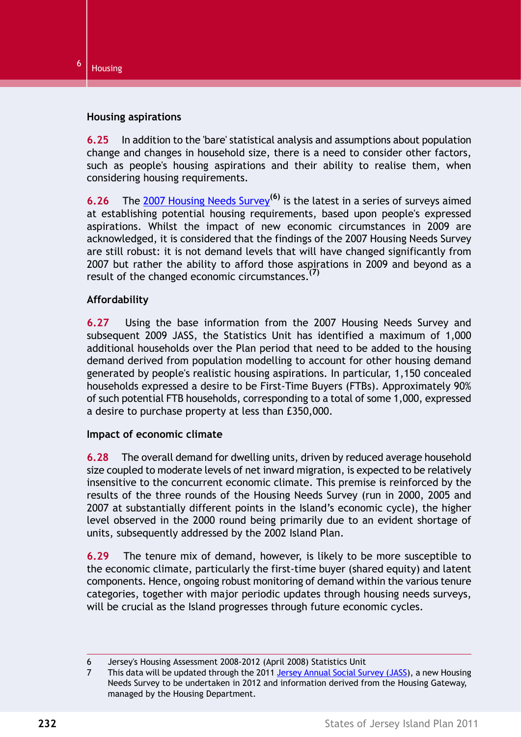#### **Housing aspirations**

**6.25** In addition to the 'bare' statistical analysis and assumptions about population change and changes in household size, there is a need to consider other factors, such as people's housing aspirations and their ability to realise them, when considering housing requirements.

**6.26** The 2007 Housing Needs Survey**(6)** is the latest in a series of surveys aimed at establishing potential housing requirements, based upon people's expressed aspirations. Whilst the impact of new economic circumstances in 2009 are acknowledged, it is considered that the findings of the 2007 Housing Needs Survey are still robust: it is not demand levels that will have changed significantly from 2007 but rather the ability to afford those aspirations in 2009 and beyond as a result of the changed economic circumstances.**(7)**

### **Affordability**

**6.27** Using the base information from the 2007 Housing Needs Survey and subsequent 2009 JASS, the Statistics Unit has identified a maximum of 1,000 additional households over the Plan period that need to be added to the housing demand derived from population modelling to account for other housing demand generated by people's realistic housing aspirations. In particular, 1,150 concealed households expressed a desire to be First-Time Buyers (FTBs). Approximately 90% of such potential FTB households, corresponding to a total of some 1,000, expressed a desire to purchase property at less than £350,000.

#### **Impact of economic climate**

**6.28** The overall demand for dwelling units, driven by reduced average household size coupled to moderate levels of net inward migration, is expected to be relatively insensitive to the concurrent economic climate. This premise is reinforced by the results of the three rounds of the Housing Needs Survey (run in 2000, 2005 and 2007 at substantially different points in the Island's economic cycle), the higher level observed in the 2000 round being primarily due to an evident shortage of units, subsequently addressed by the 2002 Island Plan.

**6.29** The tenure mix of demand, however, is likely to be more susceptible to the economic climate, particularly the first-time buyer (shared equity) and latent components. Hence, ongoing robust monitoring of demand within the various tenure categories, together with major periodic updates through housing needs surveys, will be crucial as the Island progresses through future economic cycles.

<sup>6</sup> Jersey's Housing Assessment 2008-2012 (April 2008) Statistics Unit

<sup>7</sup> This data will be updated through the 2011 Jersey Annual Social Survey (JASS), a new Housing Needs Survey to be undertaken in 2012 and information derived from the Housing Gateway, managed by the Housing Department.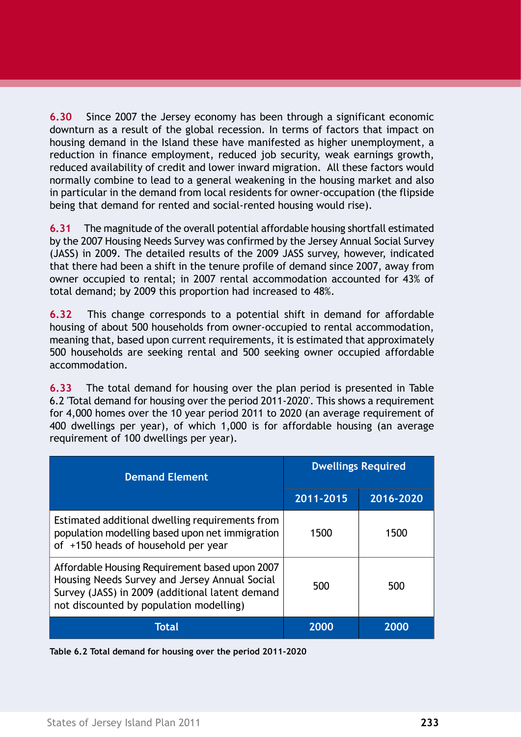**6.30** Since 2007 the Jersey economy has been through a significant economic downturn as a result of the global recession. In terms of factors that impact on housing demand in the Island these have manifested as higher unemployment, a reduction in finance employment, reduced job security, weak earnings growth, reduced availability of credit and lower inward migration. All these factors would normally combine to lead to a general weakening in the housing market and also in particular in the demand from local residents for owner-occupation (the flipside being that demand for rented and social-rented housing would rise).

**6.31** The magnitude of the overall potential affordable housing shortfall estimated by the 2007 Housing Needs Survey was confirmed by the Jersey Annual Social Survey (JASS) in 2009. The detailed results of the 2009 JASS survey, however, indicated that there had been a shift in the tenure profile of demand since 2007, away from owner occupied to rental; in 2007 rental accommodation accounted for 43% of total demand; by 2009 this proportion had increased to 48%.

**6.32** This change corresponds to a potential shift in demand for affordable housing of about 500 households from owner-occupied to rental accommodation, meaning that, based upon current requirements, it is estimated that approximately 500 households are seeking rental and 500 seeking owner occupied affordable accommodation.

**6.33** The total demand for housing over the plan period is presented in [Table](#page-8-0) [6.2 'Total demand for housing over the period 2011-2020'](#page-8-0). This shows a requirement for 4,000 homes over the 10 year period 2011 to 2020 (an average requirement of 400 dwellings per year), of which 1,000 is for affordable housing (an average requirement of 100 dwellings per year).

<span id="page-8-0"></span>

| <b>Demand Element</b>                                                                                                                                                                         | <b>Dwellings Required</b> |           |  |
|-----------------------------------------------------------------------------------------------------------------------------------------------------------------------------------------------|---------------------------|-----------|--|
|                                                                                                                                                                                               | 2011-2015                 | 2016-2020 |  |
| Estimated additional dwelling requirements from<br>population modelling based upon net immigration<br>of +150 heads of household per year                                                     | 1500                      | 1500      |  |
| Affordable Housing Requirement based upon 2007<br>Housing Needs Survey and Jersey Annual Social<br>Survey (JASS) in 2009 (additional latent demand<br>not discounted by population modelling) | 500                       | 500       |  |
| Total                                                                                                                                                                                         | 2000                      | 2000      |  |

**Table 6.2 Total demand for housing over the period 2011-2020**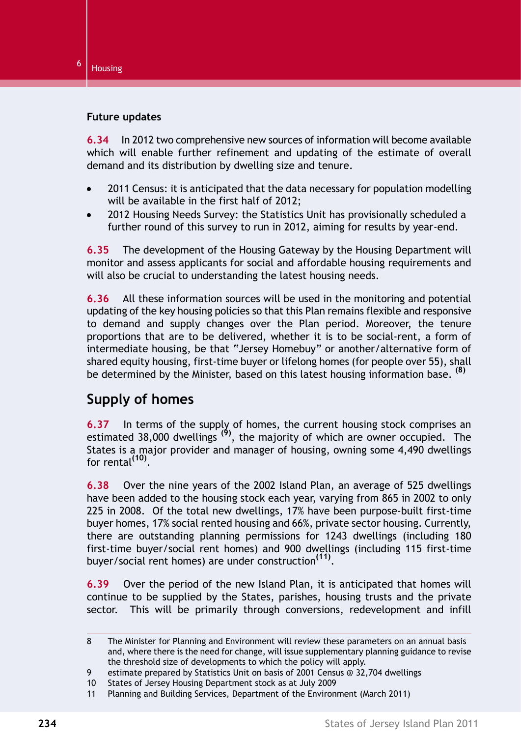#### **Future updates**

**6.34** In 2012 two comprehensive new sources of information will become available which will enable further refinement and updating of the estimate of overall demand and its distribution by dwelling size and tenure.

- 2011 Census: it is anticipated that the data necessary for population modelling will be available in the first half of 2012;
- 2012 Housing Needs Survey: the Statistics Unit has provisionally scheduled a further round of this survey to run in 2012, aiming for results by year-end.

**6.35** The development of the Housing Gateway by the Housing Department will monitor and assess applicants for social and affordable housing requirements and will also be crucial to understanding the latest housing needs.

**6.36** All these information sources will be used in the monitoring and potential updating of the key housing policies so that this Plan remains flexible and responsive to demand and supply changes over the Plan period. Moreover, the tenure proportions that are to be delivered, whether it is to be social-rent, a form of intermediate housing, be that "Jersey Homebuy" or another/alternative form of shared equity housing, first-time buyer or lifelong homes (for people over 55), shall be determined by the Minister, based on this latest housing information base. **(8)**

## **Supply of homes**

**6.37** In terms of the supply of homes, the current housing stock comprises an estimated 38,000 dwellings **(9)**, the majority of which are owner occupied. The States is a major provider and manager of housing, owning some 4,490 dwellings for rental**(10)** .

**6.38** Over the nine years of the 2002 Island Plan, an average of 525 dwellings have been added to the housing stock each year, varying from 865 in 2002 to only 225 in 2008. Of the total new dwellings, 17% have been purpose-built first-time buyer homes, 17% social rented housing and 66%, private sector housing. Currently, there are outstanding planning permissions for 1243 dwellings (including 180 first-time buyer/social rent homes) and 900 dwellings (including 115 first-time buyer/social rent homes) are under construction**(11)** .

**6.39** Over the period of the new Island Plan, it is anticipated that homes will continue to be supplied by the States, parishes, housing trusts and the private sector. This will be primarily through conversions, redevelopment and infill

<sup>8</sup> The Minister for Planning and Environment will review these parameters on an annual basis and, where there is the need for change, will issue supplementary planning guidance to revise the threshold size of developments to which the policy will apply.

<sup>9</sup> estimate prepared by Statistics Unit on basis of 2001 Census @ 32,704 dwellings

<sup>10</sup> States of Jersey Housing Department stock as at July 2009

<sup>11</sup> Planning and Building Services, Department of the Environment (March 2011)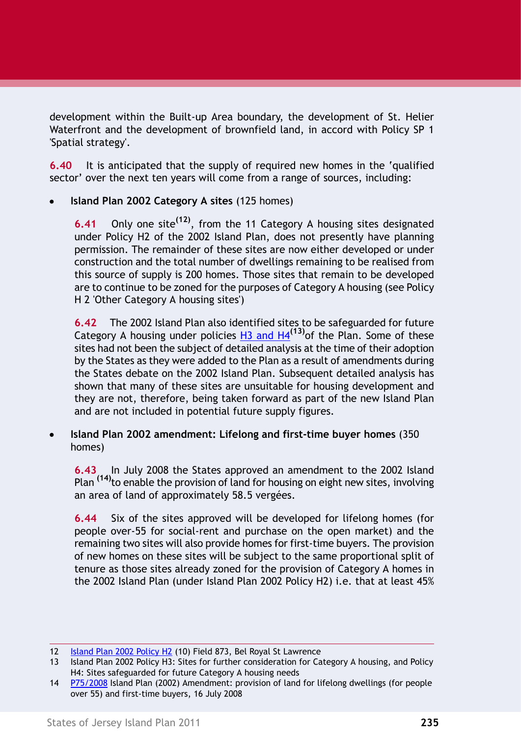development within the Built-up Area boundary, the development of St. Helier Waterfront and the development of brownfield land, in accord with Policy SP 1 'Spatial strategy'.

**6.40** It is anticipated that the supply of required new homes in the 'qualified sector' over the next ten years will come from a range of sources, including:

**Island Plan 2002 Category A sites** (125 homes)

**6.41** Only one site**(12)**, from the 11 Category A housing sites designated under Policy H2 of the 2002 Island Plan, does not presently have planning permission. The remainder of these sites are now either developed or under construction and the total number of dwellings remaining to be realised from this source of supply is 200 homes. Those sites that remain to be developed are to continue to be zoned for the purposes of Category A housing (see [Policy](#page-25-0) [H 2 'Other Category A housing sites'\)](#page-25-0)

**6.42** The 2002 Island Plan also identified sites to be safeguarded for future Category A housing under policies H3 and H4**(13)**of the Plan. Some of these sites had not been the subject of detailed analysis at the time of their adoption by the States as they were added to the Plan as a result of amendments during the States debate on the 2002 Island Plan. Subsequent detailed analysis has shown that many of these sites are unsuitable for housing development and they are not, therefore, being taken forward as part of the new Island Plan and are not included in potential future supply figures.

**Island Plan 2002 amendment: Lifelong and first-time buyer homes** (350 homes)

**6.43** In July 2008 the States approved an amendment to the 2002 Island Plan **(14)**to enable the provision of land for housing on eight new sites, involving an area of land of approximately 58.5 vergées.

**6.44** Six of the sites approved will be developed for lifelong homes (for people over-55 for social-rent and purchase on the open market) and the remaining two sites will also provide homes for first-time buyers. The provision of new homes on these sites will be subject to the same proportional split of tenure as those sites already zoned for the provision of Category A homes in the 2002 Island Plan (under Island Plan 2002 Policy H2) i.e. that at least 45%

<sup>12</sup> Island Plan 2002 Policy H2 (10) Field 873, Bel Royal St Lawrence

<sup>13</sup> Island Plan 2002 Policy H3: Sites for further consideration for Category A housing, and Policy H4: Sites safeguarded for future Category A housing needs

<sup>14</sup> P75/2008 Island Plan (2002) Amendment: provision of land for lifelong dwellings (for people over 55) and first-time buyers, 16 July 2008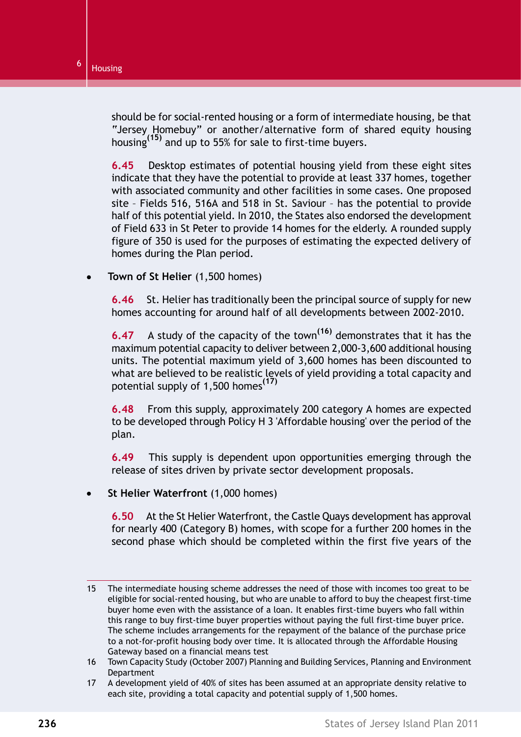should be for social-rented housing or a form of intermediate housing, be that "Jersey Homebuy" or another/alternative form of shared equity housing housing**(15)** and up to 55% for sale to first-time buyers.

**6.45** Desktop estimates of potential housing yield from these eight sites indicate that they have the potential to provide at least 337 homes, together with associated community and other facilities in some cases. One proposed site – Fields 516, 516A and 518 in St. Saviour – has the potential to provide half of this potential yield. In 2010, the States also endorsed the development of Field 633 in St Peter to provide 14 homes for the elderly. A rounded supply figure of 350 is used for the purposes of estimating the expected delivery of homes during the Plan period.

**Town of St Helier** (1,500 homes)

**6.46** St. Helier has traditionally been the principal source of supply for new homes accounting for around half of all developments between 2002-2010.

**6.47** A study of the capacity of the town**(16)** demonstrates that it has the maximum potential capacity to deliver between 2,000-3,600 additional housing units. The potential maximum yield of 3,600 homes has been discounted to what are believed to be realistic levels of yield providing a total capacity and potential supply of 1,500 homes**(17)**

**6.48** From this supply, approximately 200 category A homes are expected to be developed through [Policy H 3 'Affordable housing'](#page-32-0) over the period of the plan.

**6.49** This supply is dependent upon opportunities emerging through the release of sites driven by private sector development proposals.

**St Helier Waterfront** (1,000 homes)

**6.50** At the St Helier Waterfront, the Castle Quays development has approval for nearly 400 (Category B) homes, with scope for a further 200 homes in the second phase which should be completed within the first five years of the

<sup>15</sup> The intermediate housing scheme addresses the need of those with incomes too great to be eligible for social-rented housing, but who are unable to afford to buy the cheapest first-time buyer home even with the assistance of a loan. It enables first-time buyers who fall within this range to buy first-time buyer properties without paying the full first-time buyer price. The scheme includes arrangements for the repayment of the balance of the purchase price to a not-for-profit housing body over time. It is allocated through the Affordable Housing Gateway based on a financial means test

<sup>16</sup> Town Capacity Study (October 2007) Planning and Building Services, Planning and Environment Department

<sup>17</sup> A development yield of 40% of sites has been assumed at an appropriate density relative to each site, providing a total capacity and potential supply of 1,500 homes.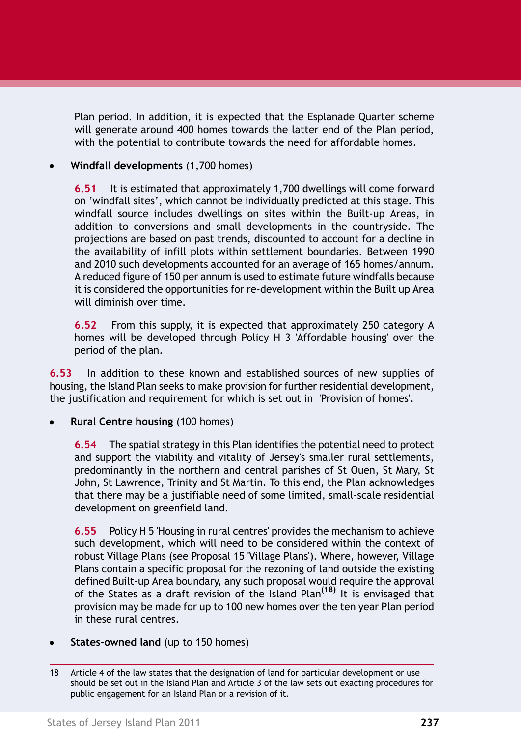Plan period. In addition, it is expected that the Esplanade Quarter scheme will generate around 400 homes towards the latter end of the Plan period, with the potential to contribute towards the need for affordable homes.

### **Windfall developments** (1,700 homes)

**6.51** It is estimated that approximately 1,700 dwellings will come forward on 'windfall sites', which cannot be individually predicted at this stage. This windfall source includes dwellings on sites within the Built-up Areas, in addition to conversions and small developments in the countryside. The projections are based on past trends, discounted to account for a decline in the availability of infill plots within settlement boundaries. Between 1990 and 2010 such developments accounted for an average of 165 homes/annum. A reduced figure of 150 per annum is used to estimate future windfalls because it is considered the opportunities for re-development within the Built up Area will diminish over time.

**6.52** From this supply, it is expected that approximately 250 category A homes will be developed through [Policy H 3 'Affordable housing'](#page-32-0) over the period of the plan.

**6.53** In addition to these known and established sources of new supplies of housing, the Island Plan seeks to make provision for further residential development, the justification and requirement for which is set out in ['Provision of homes'.](#page-15-0)

**Rural Centre housing** (100 homes)

**6.54** The spatial strategy in this Plan identifies the potential need to protect and support the viability and vitality of Jersey's smaller rural settlements, predominantly in the northern and central parishes of St Ouen, St Mary, St John, St Lawrence, Trinity and St Martin. To this end, the Plan acknowledges that there may be a justifiable need of some limited, small-scale residential development on greenfield land.

**6.55** [Policy H 5 'Housing in rural centres'](#page-36-0) provides the mechanism to achieve such development, which will need to be considered within the context of robust Village Plans (see Proposal 15 'Village Plans'). Where, however, Village Plans contain a specific proposal for the rezoning of land outside the existing defined Built-up Area boundary, any such proposal would require the approval of the States as a draft revision of the Island Plan**(18)** It is envisaged that provision may be made for up to 100 new homes over the ten year Plan period in these rural centres.

**States-owned land** (up to 150 homes)

<sup>18</sup> Article 4 of the law states that the designation of land for particular development or use should be set out in the Island Plan and Article 3 of the law sets out exacting procedures for public engagement for an Island Plan or a revision of it.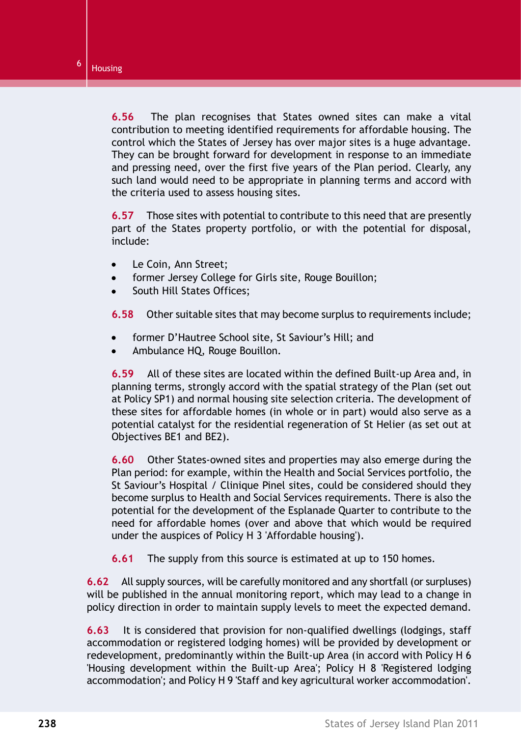**6.56** The plan recognises that States owned sites can make a vital contribution to meeting identified requirements for affordable housing. The control which the States of Jersey has over major sites is a huge advantage. They can be brought forward for development in response to an immediate and pressing need, over the first five years of the Plan period. Clearly, any such land would need to be appropriate in planning terms and accord with the criteria used to assess housing sites.

**6.57** Those sites with potential to contribute to this need that are presently part of the States property portfolio, or with the potential for disposal, include:

- Le Coin, Ann Street;  $\bullet$
- former Jersey College for Girls site, Rouge Bouillon;
- South Hill States Offices;

**6.58** Other suitable sites that may become surplus to requirements include;

- former D'Hautree School site, St Saviour's Hill; and
- Ambulance HQ, Rouge Bouillon.

**6.59** All of these sites are located within the defined Built-up Area and, in planning terms, strongly accord with the spatial strategy of the Plan (set out at Policy SP1) and normal housing site selection criteria. The development of these sites for affordable homes (in whole or in part) would also serve as a potential catalyst for the residential regeneration of St Helier (as set out at Objectives BE1 and BE2).

**6.60** Other States-owned sites and properties may also emerge during the Plan period: for example, within the Health and Social Services portfolio, the St Saviour's Hospital / Clinique Pinel sites, could be considered should they become surplus to Health and Social Services requirements. There is also the potential for the development of the Esplanade Quarter to contribute to the need for affordable homes (over and above that which would be required under the auspices of [Policy H 3 'Affordable housing'\)](#page-32-0).

**6.61** The supply from this source is estimated at up to 150 homes.

**6.62** All supply sources, will be carefully monitored and any shortfall (or surpluses) will be published in the annual monitoring report, which may lead to a change in policy direction in order to maintain supply levels to meet the expected demand.

**6.63** It is considered that provision for non-qualified dwellings (lodgings, staff accommodation or registered lodging homes) will be provided by development or redevelopment, predominantly within the Built-up Area (in accord with [Policy H 6](#page-38-0) ['Housing development within the Built-up Area';](#page-38-0) [Policy H 8 'Registered lodging](#page-41-0) [accommodation';](#page-41-0) and [Policy H 9 'Staff and key agricultural worker accommodation'.](#page-43-0)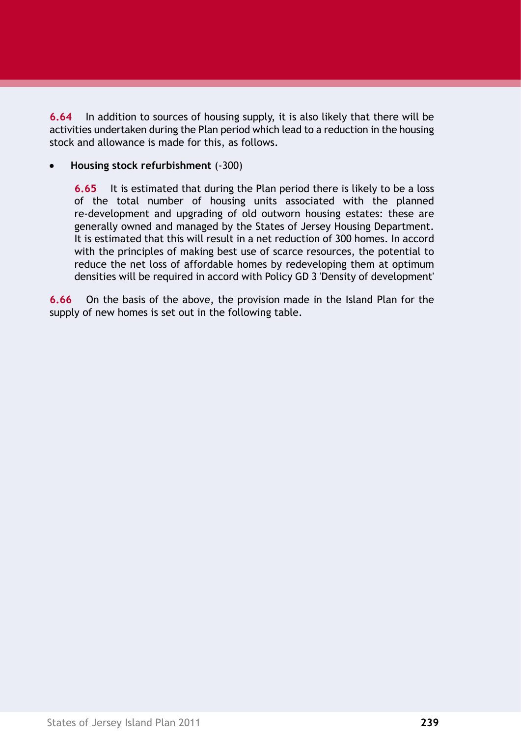**6.64** In addition to sources of housing supply, it is also likely that there will be activities undertaken during the Plan period which lead to a reduction in the housing stock and allowance is made for this, as follows.

**Housing stock refurbishment** (-300)

**6.65** It is estimated that during the Plan period there is likely to be a loss of the total number of housing units associated with the planned re-development and upgrading of old outworn housing estates: these are generally owned and managed by the States of Jersey Housing Department. It is estimated that this will result in a net reduction of 300 homes. In accord with the principles of making best use of scarce resources, the potential to reduce the net loss of affordable homes by redeveloping them at optimum densities will be required in accord with Policy GD 3 'Density of development'

**6.66** On the basis of the above, the provision made in the Island Plan for the supply of new homes is set out in the following table.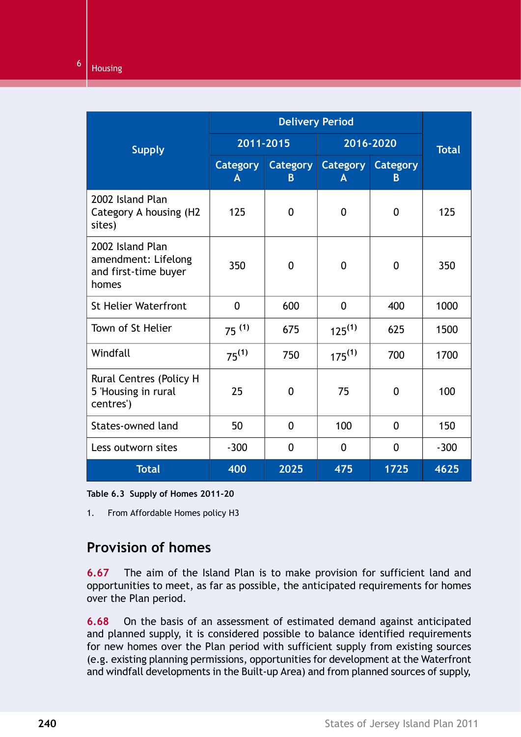|                                                                          | <b>Delivery Period</b> |                                 |               |                      |              |
|--------------------------------------------------------------------------|------------------------|---------------------------------|---------------|----------------------|--------------|
| <b>Supply</b>                                                            | 2011-2015              |                                 | 2016-2020     |                      | <b>Total</b> |
|                                                                          | <b>Category</b><br>A   | <b>Category</b><br><sub>B</sub> | Category<br>A | <b>Category</b><br>B |              |
| 2002 Island Plan<br>Category A housing (H2<br>sites)                     | 125                    | $\mathbf{0}$                    | $\mathbf{0}$  | $\mathbf{0}$         | 125          |
| 2002 Island Plan<br>amendment: Lifelong<br>and first-time buyer<br>homes | 350                    | $\mathbf 0$                     | $\mathbf 0$   | 0                    | 350          |
| <b>St Helier Waterfront</b>                                              | $\mathbf{0}$           | 600                             | $\mathbf{0}$  | 400                  | 1000         |
| Town of St Helier                                                        | $75^{(1)}$             | 675                             | $125^{(1)}$   | 625                  | 1500         |
| Windfall                                                                 | $75^{(1)}$             | 750                             | $175^{(1)}$   | 700                  | 1700         |
| Rural Centres (Policy H<br>5 'Housing in rural<br>centres')              | 25                     | $\Omega$                        | 75            | $\Omega$             | 100          |
| States-owned land                                                        | 50                     | $\mathbf{0}$                    | 100           | $\mathbf{0}$         | 150          |
| Less outworn sites                                                       | $-300$                 | $\mathbf{0}$                    | $\mathbf 0$   | $\mathbf{0}$         | $-300$       |
| <b>Total</b>                                                             | 400                    | 2025                            | 475           | 1725                 | 4625         |

<span id="page-15-0"></span>**Table 6.3 Supply of Homes 2011-20**

1. From Affordable Homes policy H3

## **Provision of homes**

**6.67** The aim of the Island Plan is to make provision for sufficient land and opportunities to meet, as far as possible, the anticipated requirements for homes over the Plan period.

**6.68** On the basis of an assessment of estimated demand against anticipated and planned supply, it is considered possible to balance identified requirements for new homes over the Plan period with sufficient supply from existing sources (e.g. existing planning permissions, opportunities for development at the Waterfront and windfall developments in the Built-up Area) and from planned sources of supply,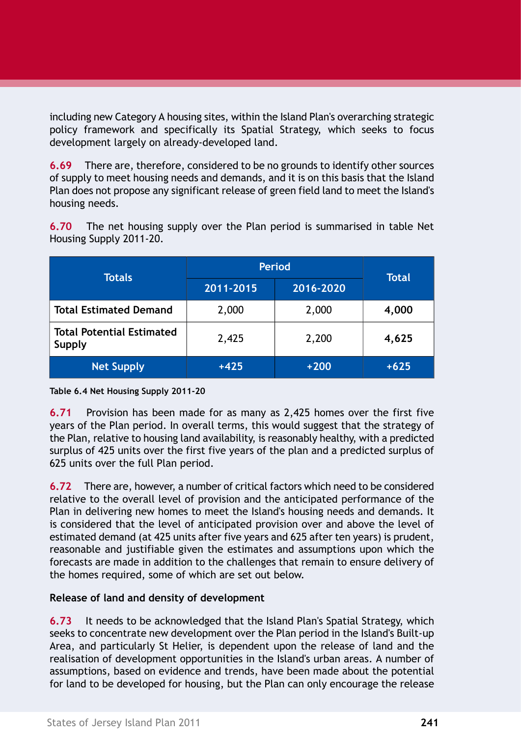including new Category A housing sites, within the Island Plan's overarching strategic policy framework and specifically its Spatial Strategy, which seeks to focus development largely on already-developed land.

**6.69** There are, therefore, considered to be no grounds to identify other sources of supply to meet housing needs and demands, and it is on this basis that the Island Plan does not propose any significant release of green field land to meet the Island's housing needs.

| <b>Totals</b>                              | <b>Period</b> |           | Total  |
|--------------------------------------------|---------------|-----------|--------|
|                                            | 2011-2015     | 2016-2020 |        |
| <b>Total Estimated Demand</b>              | 2,000         | 2,000     | 4,000  |
| <b>Total Potential Estimated</b><br>Supply | 2,425         | 2,200     | 4,625  |
| <b>Net Supply</b>                          | +425          | $+200$    | $+625$ |

**6.70** The net housing supply over the Plan period is summarised in table Net Housing Supply 2011-20.

#### **Table 6.4 Net Housing Supply 2011-20**

**6.71** Provision has been made for as many as 2,425 homes over the first five years of the Plan period. In overall terms, this would suggest that the strategy of the Plan, relative to housing land availability, is reasonably healthy, with a predicted surplus of 425 units over the first five years of the plan and a predicted surplus of 625 units over the full Plan period.

**6.72** There are, however, a number of critical factors which need to be considered relative to the overall level of provision and the anticipated performance of the Plan in delivering new homes to meet the Island's housing needs and demands. It is considered that the level of anticipated provision over and above the level of estimated demand (at 425 units after five years and 625 after ten years) is prudent, reasonable and justifiable given the estimates and assumptions upon which the forecasts are made in addition to the challenges that remain to ensure delivery of the homes required, some of which are set out below.

### **Release of land and density of development**

**6.73** It needs to be acknowledged that the Island Plan's Spatial Strategy, which seeks to concentrate new development over the Plan period in the Island's Built-up Area, and particularly St Helier, is dependent upon the release of land and the realisation of development opportunities in the Island's urban areas. A number of assumptions, based on evidence and trends, have been made about the potential for land to be developed for housing, but the Plan can only encourage the release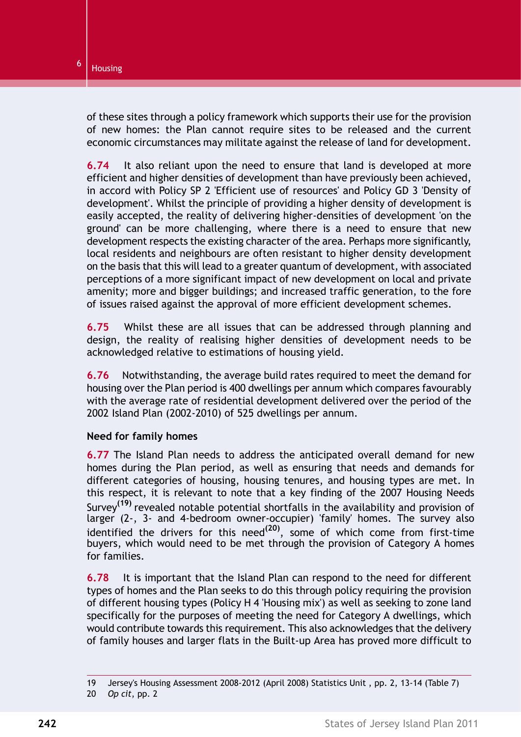of these sites through a policy framework which supports their use for the provision of new homes: the Plan cannot require sites to be released and the current economic circumstances may militate against the release of land for development.

**6.74** It also reliant upon the need to ensure that land is developed at more efficient and higher densities of development than have previously been achieved, in accord with Policy SP 2 'Efficient use of resources' and Policy GD 3 'Density of development'. Whilst the principle of providing a higher density of development is easily accepted, the reality of delivering higher-densities of development 'on the ground' can be more challenging, where there is a need to ensure that new development respects the existing character of the area. Perhaps more significantly, local residents and neighbours are often resistant to higher density development on the basis that this will lead to a greater quantum of development, with associated perceptions of a more significant impact of new development on local and private amenity; more and bigger buildings; and increased traffic generation, to the fore of issues raised against the approval of more efficient development schemes.

**6.75** Whilst these are all issues that can be addressed through planning and design, the reality of realising higher densities of development needs to be acknowledged relative to estimations of housing yield.

**6.76** Notwithstanding, the average build rates required to meet the demand for housing over the Plan period is 400 dwellings per annum which compares favourably with the average rate of residential development delivered over the period of the 2002 Island Plan (2002-2010) of 525 dwellings per annum.

### **Need for family homes**

**6.77** The Island Plan needs to address the anticipated overall demand for new homes during the Plan period, as well as ensuring that needs and demands for different categories of housing, housing tenures, and housing types are met. In this respect, it is relevant to note that a key finding of the 2007 Housing Needs Survey**(19)** revealed notable potential shortfalls in the availability and provision of larger (2-, 3- and 4-bedroom owner-occupier) 'family' homes. The survey also identified the drivers for this need**(20)** , some of which come from first-time buyers, which would need to be met through the provision of Category A homes for families.

**6.78** It is important that the Island Plan can respond to the need for different types of homes and the Plan seeks to do this through policy requiring the provision of different housing types (Policy H 4 'Housing mix') as well as seeking to zone land specifically for the purposes of meeting the need for Category A dwellings, which would contribute towards this requirement. This also acknowledges that the delivery of family houses and larger flats in the Built-up Area has proved more difficult to

<sup>19</sup> Jersey's Housing Assessment 2008-2012 (April 2008) Statistics Unit , pp. 2, 13-14 (Table 7)

<sup>20</sup> *Op cit*, pp. 2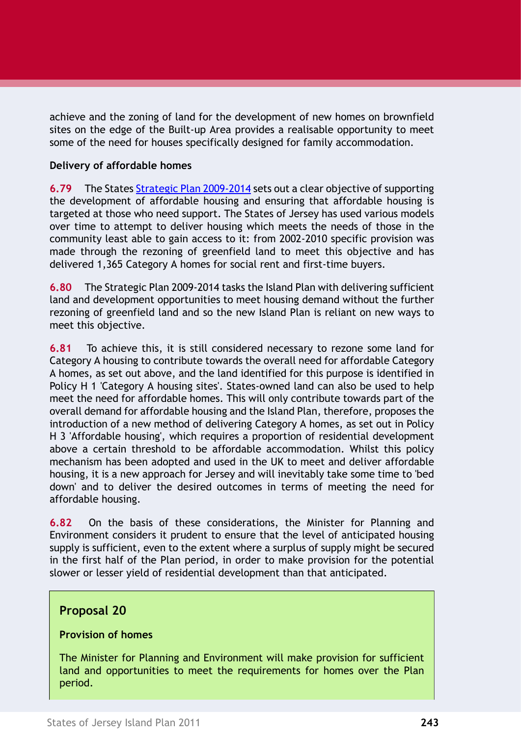achieve and the zoning of land for the development of new homes on brownfield sites on the edge of the Built-up Area provides a realisable opportunity to meet some of the need for houses specifically designed for family accommodation.

### **Delivery of affordable homes**

**6.79** The States Strategic Plan 2009-2014 sets out a clear objective of supporting the development of affordable housing and ensuring that affordable housing is targeted at those who need support. The States of Jersey has used various models over time to attempt to deliver housing which meets the needs of those in the community least able to gain access to it: from 2002-2010 specific provision was made through the rezoning of greenfield land to meet this objective and has delivered 1,365 Category A homes for social rent and first-time buyers.

**6.80** The Strategic Plan 2009-2014 tasks the Island Plan with delivering sufficient land and development opportunities to meet housing demand without the further rezoning of greenfield land and so the new Island Plan is reliant on new ways to meet this objective.

**6.81** To achieve this, it is still considered necessary to rezone some land for Category A housing to contribute towards the overall need for affordable Category A homes, as set out above, and the land identified for this purpose is identified in [Policy H 1 'Category A housing sites'.](#page-23-0) States-owned land can also be used to help meet the need for affordable homes. This will only contribute towards part of the overall demand for affordable housing and the Island Plan, therefore, proposes the introduction of a new method of delivering Category A homes, as set out in [Policy](#page-32-0) [H 3 'Affordable housing',](#page-32-0) which requires a proportion of residential development above a certain threshold to be affordable accommodation. Whilst this policy mechanism has been adopted and used in the UK to meet and deliver affordable housing, it is a new approach for Jersey and will inevitably take some time to 'bed down' and to deliver the desired outcomes in terms of meeting the need for affordable housing.

**6.82** On the basis of these considerations, the Minister for Planning and Environment considers it prudent to ensure that the level of anticipated housing supply is sufficient, even to the extent where a surplus of supply might be secured in the first half of the Plan period, in order to make provision for the potential slower or lesser yield of residential development than that anticipated.

### **Proposal 20**

### **Provision of homes**

The Minister for Planning and Environment will make provision for sufficient land and opportunities to meet the requirements for homes over the Plan period.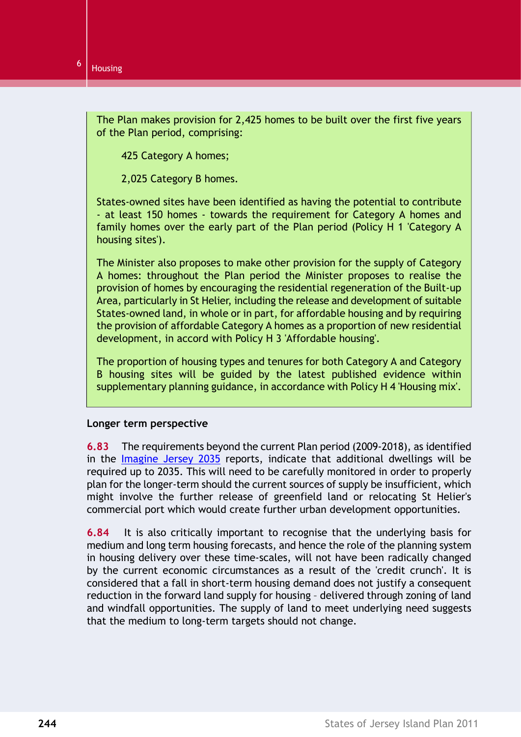The Plan makes provision for 2,425 homes to be built over the first five years of the Plan period, comprising:

425 Category A homes;

2,025 Category B homes.

States-owned sites have been identified as having the potential to contribute - at least 150 homes - towards the requirement for Category A homes and family homes over the early part of the Plan period [\(Policy H 1 'Category A](#page-23-0) [housing sites'\)](#page-23-0).

The Minister also proposes to make other provision for the supply of Category A homes: throughout the Plan period the Minister proposes to realise the provision of homes by encouraging the residential regeneration of the Built-up Area, particularly in St Helier, including the release and development of suitable States-owned land, in whole or in part, for affordable housing and by requiring the provision of affordable Category A homes as a proportion of new residential development, in accord with [Policy H 3 'Affordable housing'.](#page-32-0)

The proportion of housing types and tenures for both Category A and Category B housing sites will be guided by the latest published evidence within supplementary planning guidance, in accordance with [Policy H 4 'Housing mix'.](#page-35-0)

#### **Longer term perspective**

**6.83** The requirements beyond the current Plan period (2009-2018), as identified in the Imagine Jersey 2035 reports, indicate that additional dwellings will be required up to 2035. This will need to be carefully monitored in order to properly plan for the longer-term should the current sources of supply be insufficient, which might involve the further release of greenfield land or relocating St Helier's commercial port which would create further urban development opportunities.

**6.84** It is also critically important to recognise that the underlying basis for medium and long term housing forecasts, and hence the role of the planning system in housing delivery over these time-scales, will not have been radically changed by the current economic circumstances as a result of the 'credit crunch'. It is considered that a fall in short-term housing demand does not justify a consequent reduction in the forward land supply for housing – delivered through zoning of land and windfall opportunities. The supply of land to meet underlying need suggests that the medium to long-term targets should not change.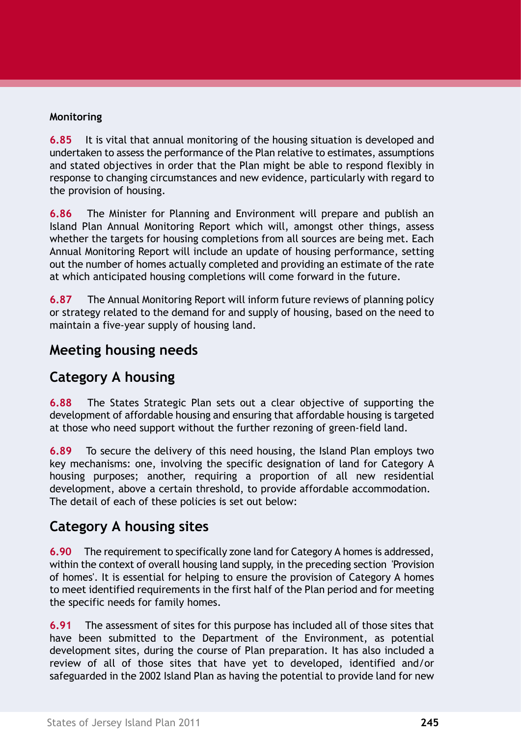### **Monitoring**

**6.85** It is vital that annual monitoring of the housing situation is developed and undertaken to assess the performance of the Plan relative to estimates, assumptions and stated objectives in order that the Plan might be able to respond flexibly in response to changing circumstances and new evidence, particularly with regard to the provision of housing.

**6.86** The Minister for Planning and Environment will prepare and publish an Island Plan Annual Monitoring Report which will, amongst other things, assess whether the targets for housing completions from all sources are being met. Each Annual Monitoring Report will include an update of housing performance, setting out the number of homes actually completed and providing an estimate of the rate at which anticipated housing completions will come forward in the future.

**6.87** The Annual Monitoring Report will inform future reviews of planning policy or strategy related to the demand for and supply of housing, based on the need to maintain a five-year supply of housing land.

# **Meeting housing needs**

# **Category A housing**

**6.88** The States Strategic Plan sets out a clear objective of supporting the development of affordable housing and ensuring that affordable housing is targeted at those who need support without the further rezoning of green-field land.

**6.89** To secure the delivery of this need housing, the Island Plan employs two key mechanisms: one, involving the specific designation of land for Category A housing purposes; another, requiring a proportion of all new residential development, above a certain threshold, to provide affordable accommodation. The detail of each of these policies is set out below:

# **Category A housing sites**

**6.90** The requirement to specifically zone land for Category A homes is addressed, within the context of overall housing land supply, in the preceding section ['Provision](#page-15-0) [of homes'.](#page-15-0) It is essential for helping to ensure the provision of Category A homes to meet identified requirements in the first half of the Plan period and for meeting the specific needs for family homes.

**6.91** The assessment of sites for this purpose has included all of those sites that have been submitted to the Department of the Environment, as potential development sites, during the course of Plan preparation. It has also included a review of all of those sites that have yet to developed, identified and/or safeguarded in the 2002 Island Plan as having the potential to provide land for new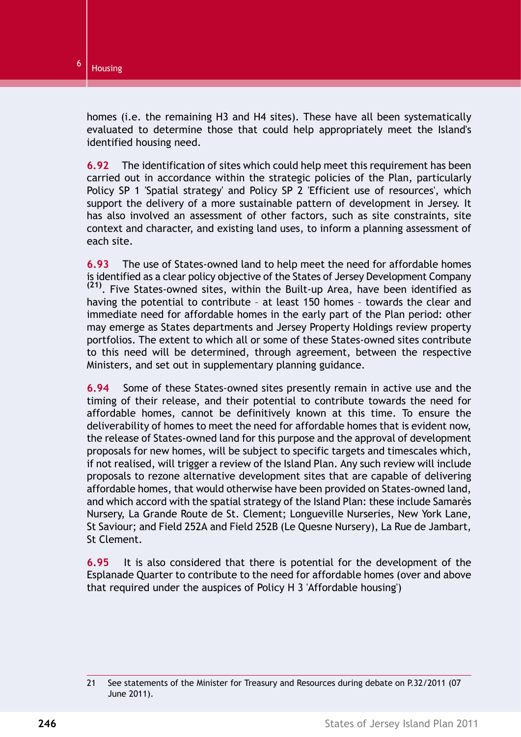homes (i.e. the remaining H3 and H4 sites). These have all been systematically evaluated to determine those that could help appropriately meet the Island's identified housing need.

**6.92** The identification of sites which could help meet this requirement has been carried out in accordance within the strategic policies of the Plan, particularly Policy SP 1 'Spatial strategy' and Policy SP 2 'Efficient use of resources', which support the delivery of a more sustainable pattern of development in Jersey. It has also involved an assessment of other factors, such as site constraints, site context and character, and existing land uses, to inform a planning assessment of each site.

**6.93** The use of States-owned land to help meet the need for affordable homes is identified as a clear policy objective of the States of Jersey Development Company **(21)**. Five States-owned sites, within the Built-up Area, have been identified as having the potential to contribute – at least 150 homes – towards the clear and immediate need for affordable homes in the early part of the Plan period: other may emerge as States departments and Jersey Property Holdings review property portfolios. The extent to which all or some of these States-owned sites contribute to this need will be determined, through agreement, between the respective Ministers, and set out in supplementary planning guidance.

**6.94** Some of these States-owned sites presently remain in active use and the timing of their release, and their potential to contribute towards the need for affordable homes, cannot be definitively known at this time. To ensure the deliverability of homes to meet the need for affordable homes that is evident now, the release of States-owned land for this purpose and the approval of development proposals for new homes, will be subject to specific targets and timescales which, if not realised, will trigger a review of the Island Plan. Any such review will include proposals to rezone alternative development sites that are capable of delivering affordable homes, that would otherwise have been provided on States-owned land, and which accord with the spatial strategy of the Island Plan: these include Samarès Nursery, La Grande Route de St. Clement; Longueville Nurseries, New York Lane, St Saviour; and Field 252A and Field 252B (Le Quesne Nursery), La Rue de Jambart, St Clement.

**6.95** It is also considered that there is potential for the development of the Esplanade Quarter to contribute to the need for affordable homes (over and above that required under the auspices of [Policy H 3 'Affordable housing'\)](#page-32-0)

<sup>21</sup> See statements of the Minister for Treasury and Resources during debate on P.32/2011 (07 June 2011).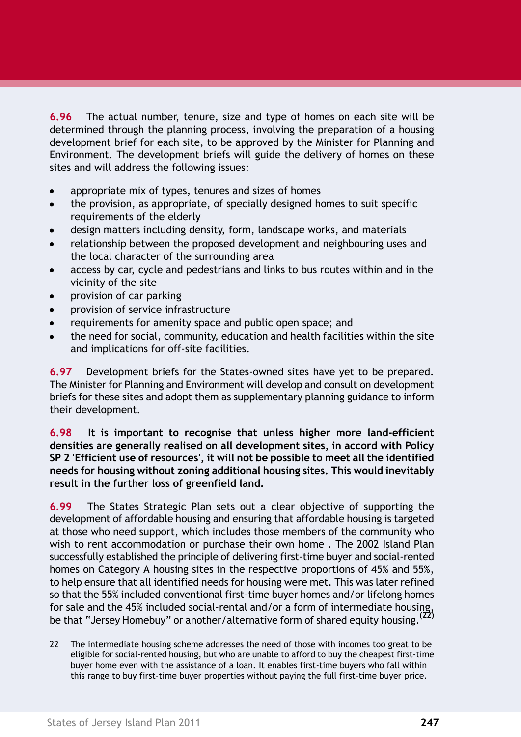**6.96** The actual number, tenure, size and type of homes on each site will be determined through the planning process, involving the preparation of a housing development brief for each site, to be approved by the Minister for Planning and Environment. The development briefs will guide the delivery of homes on these sites and will address the following issues:

- appropriate mix of types, tenures and sizes of homes
- the provision, as appropriate, of specially designed homes to suit specific  $\bullet$ requirements of the elderly
- design matters including density, form, landscape works, and materials
- relationship between the proposed development and neighbouring uses and the local character of the surrounding area
- access by car, cycle and pedestrians and links to bus routes within and in the vicinity of the site
- provision of car parking
- provision of service infrastructure
- requirements for amenity space and public open space; and
- the need for social, community, education and health facilities within the site and implications for off-site facilities.

**6.97** Development briefs for the States-owned sites have yet to be prepared. The Minister for Planning and Environment will develop and consult on development briefs for these sites and adopt them as supplementary planning guidance to inform their development.

**6.98 It is important to recognise that unless higher more land-efficient densities are generally realised on all development sites, in accord with Policy SP 2 'Efficient use of resources', it will not be possible to meet all the identified needs for housing without zoning additional housing sites. This would inevitably result in the further loss of greenfield land.**

**6.99** The States Strategic Plan sets out a clear objective of supporting the development of affordable housing and ensuring that affordable housing is targeted at those who need support, which includes those members of the community who wish to rent accommodation or purchase their own home . The 2002 Island Plan successfully established the principle of delivering first-time buyer and social-rented homes on Category A housing sites in the respective proportions of 45% and 55%, to help ensure that all identified needs for housing were met. This was later refined so that the 55% included conventional first-time buyer homes and/or lifelong homes for sale and the 45% included social-rental and/or a form of intermediate housing, be that "Jersey Homebuy" or another/alternative form of shared equity housing.**(22)**

<sup>22</sup> The intermediate housing scheme addresses the need of those with incomes too great to be eligible for social-rented housing, but who are unable to afford to buy the cheapest first-time buyer home even with the assistance of a loan. It enables first-time buyers who fall within this range to buy first-time buyer properties without paying the full first-time buyer price.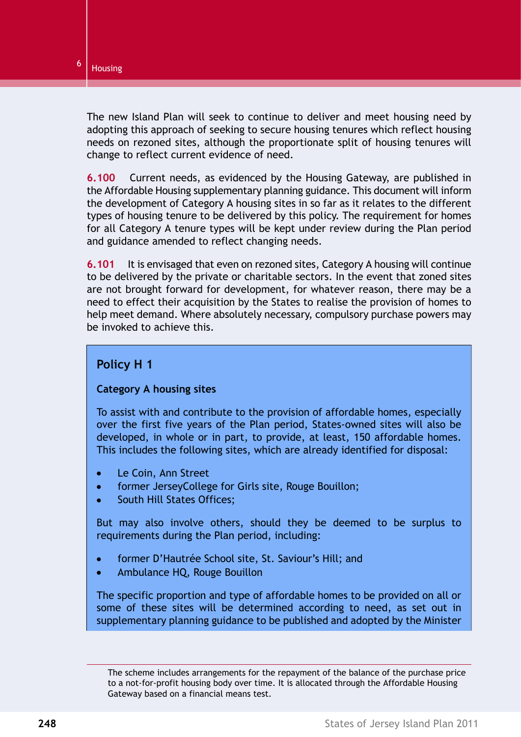The new Island Plan will seek to continue to deliver and meet housing need by adopting this approach of seeking to secure housing tenures which reflect housing needs on rezoned sites, although the proportionate split of housing tenures will change to reflect current evidence of need.

**6.100** Current needs, as evidenced by the Housing Gateway, are published in the Affordable Housing supplementary planning guidance. This document will inform the development of Category A housing sites in so far as it relates to the different types of housing tenure to be delivered by this policy. The requirement for homes for all Category A tenure types will be kept under review during the Plan period and guidance amended to reflect changing needs.

**6.101** It is envisaged that even on rezoned sites, Category A housing will continue to be delivered by the private or charitable sectors. In the event that zoned sites are not brought forward for development, for whatever reason, there may be a need to effect their acquisition by the States to realise the provision of homes to help meet demand. Where absolutely necessary, compulsory purchase powers may be invoked to achieve this.

### <span id="page-23-0"></span>**Policy H 1**

### **Category A housing sites**

To assist with and contribute to the provision of affordable homes, especially over the first five years of the Plan period, States-owned sites will also be developed, in whole or in part, to provide, at least, 150 affordable homes. This includes the following sites, which are already identified for disposal:

- $\bullet$ Le Coin, Ann Street
- $\bullet$ former JerseyCollege for Girls site, Rouge Bouillon;
- South Hill States Offices;  $\bullet$

But may also involve others, should they be deemed to be surplus to requirements during the Plan period, including:

- former D'Hautrée School site, St. Saviour's Hill; and
- Ambulance HQ, Rouge Bouillon

The specific proportion and type of affordable homes to be provided on all or some of these sites will be determined according to need, as set out in supplementary planning guidance to be published and adopted by the Minister

The scheme includes arrangements for the repayment of the balance of the purchase price to a not-for-profit housing body over time. It is allocated through the Affordable Housing Gateway based on a financial means test.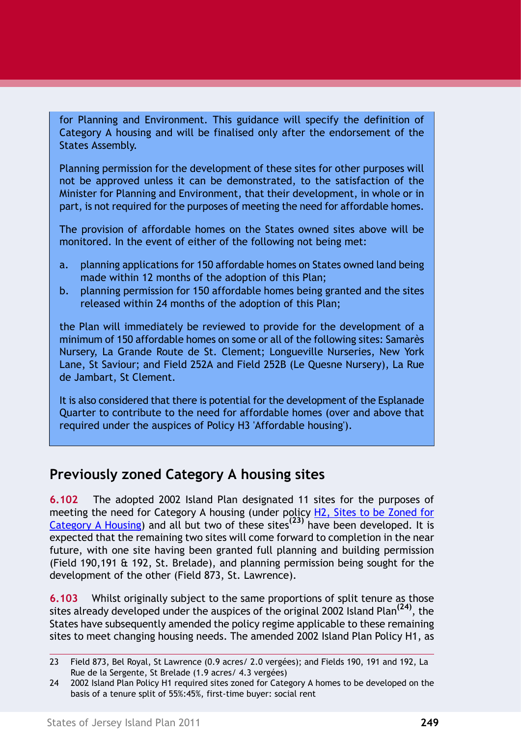for Planning and Environment. This guidance will specify the definition of Category A housing and will be finalised only after the endorsement of the States Assembly.

Planning permission for the development of these sites for other purposes will not be approved unless it can be demonstrated, to the satisfaction of the Minister for Planning and Environment, that their development, in whole or in part, is not required for the purposes of meeting the need for affordable homes.

The provision of affordable homes on the States owned sites above will be monitored. In the event of either of the following not being met:

- a. planning applications for 150 affordable homes on States owned land being made within 12 months of the adoption of this Plan;
- b. planning permission for 150 affordable homes being granted and the sites released within 24 months of the adoption of this Plan;

the Plan will immediately be reviewed to provide for the development of a minimum of 150 affordable homes on some or all of the following sites: Samarès Nursery, La Grande Route de St. Clement; Longueville Nurseries, New York Lane, St Saviour; and Field 252A and Field 252B (Le Quesne Nursery), La Rue de Jambart, St Clement.

It is also considered that there is potential for the development of the Esplanade Quarter to contribute to the need for affordable homes (over and above that required under the auspices of Policy H3 'Affordable housing').

# **Previously zoned Category A housing sites**

**6.102** The adopted 2002 Island Plan designated 11 sites for the purposes of meeting the need for Category A housing (under policy H2, Sites to be Zoned for Category A Housing) and all but two of these sites**(23)** have been developed. It is expected that the remaining two sites will come forward to completion in the near future, with one site having been granted full planning and building permission (Field 190,191 & 192, St. Brelade), and planning permission being sought for the development of the other (Field 873, St. Lawrence).

**6.103** Whilst originally subject to the same proportions of split tenure as those sites already developed under the auspices of the original 2002 Island Plan**(24)**, the States have subsequently amended the policy regime applicable to these remaining sites to meet changing housing needs. The amended 2002 Island Plan Policy H1, as

<sup>23</sup> Field 873, Bel Royal, St Lawrence (0.9 acres/ 2.0 vergées); and Fields 190, 191 and 192, La Rue de la Sergente, St Brelade (1.9 acres/ 4.3 vergées)

<sup>24 2002</sup> Island Plan Policy H1 required sites zoned for Category A homes to be developed on the basis of a tenure split of 55%:45%, first-time buyer: social rent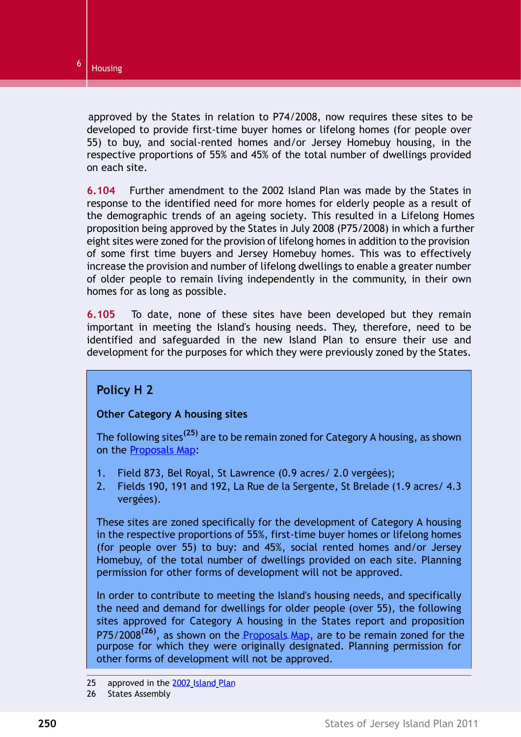approved by the States in relation to P74/2008, now requires these sites to be developed to provide first-time buyer homes or lifelong homes (for people over 55) to buy, and social-rented homes and/or Jersey Homebuy housing, in the respective proportions of 55% and 45% of the total number of dwellings provided on each site.

**6.104** Further amendment to the 2002 Island Plan was made by the States in response to the identified need for more homes for elderly people as a result of the demographic trends of an ageing society. This resulted in a Lifelong Homes proposition being approved by the States in July 2008 (P75/2008) in which a further eight sites were zoned for the provision of lifelong homes in addition to the provision of some first time buyers and Jersey Homebuy homes. This was to effectively increase the provision and number of lifelong dwellings to enable a greater number of older people to remain living independently in the community, in their own homes for as long as possible.

<span id="page-25-0"></span>**6.105** To date, none of these sites have been developed but they remain important in meeting the Island's housing needs. They, therefore, need to be identified and safeguarded in the new Island Plan to ensure their use and development for the purposes for which they were previously zoned by the States.

### **Policy H 2**

### **Other Category A housing sites**

The following sites**(25)** are to be remain zoned for Category A housing, as shown on the Proposals Map:

- 1. Field 873, Bel Royal, St Lawrence (0.9 acres/ 2.0 vergées);
- 2. Fields 190, 191 and 192, La Rue de la Sergente, St Brelade (1.9 acres/ 4.3 vergées).

These sites are zoned specifically for the development of Category A housing in the respective proportions of 55%, first-time buyer homes or lifelong homes (for people over 55) to buy: and 45%, social rented homes and/or Jersey Homebuy, of the total number of dwellings provided on each site. Planning permission for other forms of development will not be approved.

In order to contribute to meeting the Island's housing needs, and specifically the need and demand for dwellings for older people (over 55), the following sites approved for Category A housing in the States report and proposition P75/2008<sup>(26)</sup>, as shown on the Proposals Map, are to be remain zoned for the purpose for which they were originally designated. Planning permission for other forms of development will not be approved.

<sup>25</sup> approved in the 2002 Island Plan

<sup>26</sup> States Assembly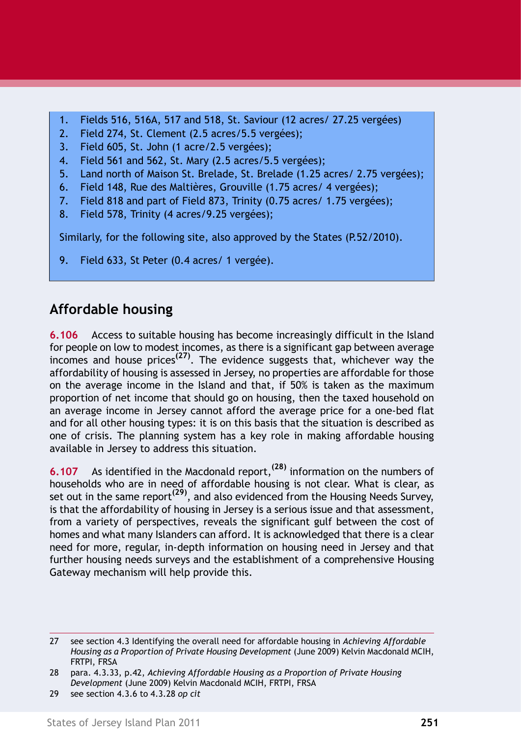- 1. Fields 516, 516A, 517 and 518, St. Saviour (12 acres/ 27.25 vergées)
- 2. Field 274, St. Clement (2.5 acres/5.5 vergées);
- 3. Field 605, St. John (1 acre/2.5 vergées);
- 4. Field 561 and 562, St. Mary (2.5 acres/5.5 vergées);
- 5. Land north of Maison St. Brelade, St. Brelade (1.25 acres/ 2.75 vergées);
- 6. Field 148, Rue des Maltières, Grouville (1.75 acres/ 4 vergées);
- 7. Field 818 and part of Field 873, Trinity (0.75 acres/ 1.75 vergées);
- 8. Field 578, Trinity (4 acres/9.25 vergées);

Similarly, for the following site, also approved by the States (P.52/2010).

9. Field 633, St Peter (0.4 acres/ 1 vergée).

# **Affordable housing**

**6.106** Access to suitable housing has become increasingly difficult in the Island for people on low to modest incomes, as there is a significant gap between average incomes and house prices**(27)**. The evidence suggests that, whichever way the affordability of housing is assessed in Jersey, no properties are affordable for those on the average income in the Island and that, if 50% is taken as the maximum proportion of net income that should go on housing, then the taxed household on an average income in Jersey cannot afford the average price for a one-bed flat and for all other housing types: it is on this basis that the situation is described as one of crisis. The planning system has a key role in making affordable housing available in Jersey to address this situation.

**6.107** As identified in the Macdonald report,**(28)** information on the numbers of households who are in need of affordable housing is not clear. What is clear, as set out in the same report**(29)**, and also evidenced from the Housing Needs Survey, is that the affordability of housing in Jersey is a serious issue and that assessment, from a variety of perspectives, reveals the significant gulf between the cost of homes and what many Islanders can afford. It is acknowledged that there is a clear need for more, regular, in-depth information on housing need in Jersey and that further housing needs surveys and the establishment of a comprehensive Housing Gateway mechanism will help provide this.

<sup>27</sup> see section 4.3 Identifying the overall need for affordable housing in *Achieving Affordable Housing as a Proportion of Private Housing Development* (June 2009) Kelvin Macdonald MCIH, FRTPI, FRSA

<sup>28</sup> para. 4.3.33, p.42, *Achieving Affordable Housing as a Proportion of Private Housing Development* (June 2009) Kelvin Macdonald MCIH, FRTPI, FRSA

<sup>29</sup> see section 4.3.6 to 4.3.28 *op cit*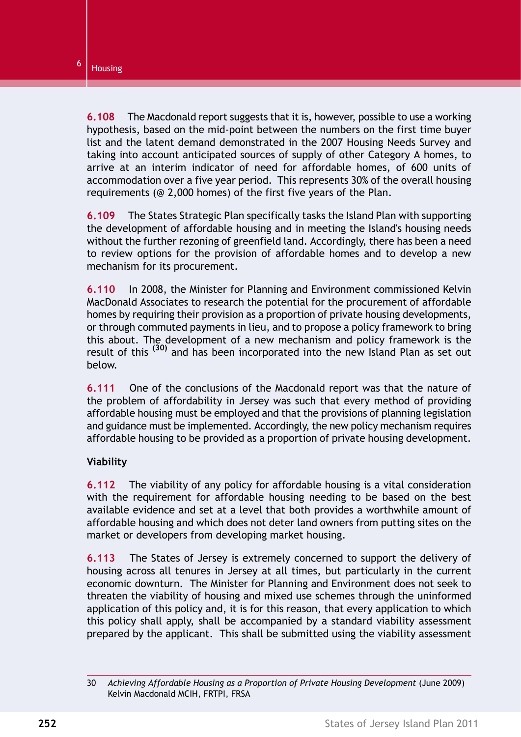**6.108** The Macdonald report suggests that it is, however, possible to use a working hypothesis, based on the mid-point between the numbers on the first time buyer list and the latent demand demonstrated in the 2007 Housing Needs Survey and taking into account anticipated sources of supply of other Category A homes, to arrive at an interim indicator of need for affordable homes, of 600 units of accommodation over a five year period. This represents 30% of the overall housing requirements (@ 2,000 homes) of the first five years of the Plan.

**6.109** The States Strategic Plan specifically tasks the Island Plan with supporting the development of affordable housing and in meeting the Island's housing needs without the further rezoning of greenfield land. Accordingly, there has been a need to review options for the provision of affordable homes and to develop a new mechanism for its procurement.

**6.110** In 2008, the Minister for Planning and Environment commissioned Kelvin MacDonald Associates to research the potential for the procurement of affordable homes by requiring their provision as a proportion of private housing developments, or through commuted payments in lieu, and to propose a policy framework to bring this about. The development of a new mechanism and policy framework is the result of this **(30)** and has been incorporated into the new Island Plan as set out below.

**6.111** One of the conclusions of the Macdonald report was that the nature of the problem of affordability in Jersey was such that every method of providing affordable housing must be employed and that the provisions of planning legislation and guidance must be implemented. Accordingly, the new policy mechanism requires affordable housing to be provided as a proportion of private housing development.

### **Viability**

**6.112** The viability of any policy for affordable housing is a vital consideration with the requirement for affordable housing needing to be based on the best available evidence and set at a level that both provides a worthwhile amount of affordable housing and which does not deter land owners from putting sites on the market or developers from developing market housing.

**6.113** The States of Jersey is extremely concerned to support the delivery of housing across all tenures in Jersey at all times, but particularly in the current economic downturn. The Minister for Planning and Environment does not seek to threaten the viability of housing and mixed use schemes through the uninformed application of this policy and, it is for this reason, that every application to which this policy shall apply, shall be accompanied by a standard viability assessment prepared by the applicant. This shall be submitted using the viability assessment

<sup>30</sup> *Achieving Affordable Housing as a Proportion of Private Housing Development* (June 2009) Kelvin Macdonald MCIH, FRTPI, FRSA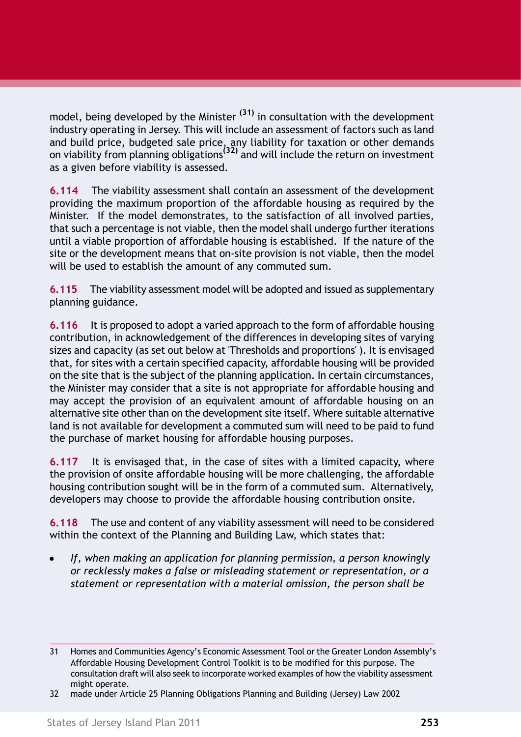model, being developed by the Minister **(31)** in consultation with the development industry operating in Jersey. This will include an assessment of factors such as land and build price, budgeted sale price, any liability for taxation or other demands on viability from planning obligations**(32)** and will include the return on investment as a given before viability is assessed.

**6.114** The viability assessment shall contain an assessment of the development providing the maximum proportion of the affordable housing as required by the Minister. If the model demonstrates, to the satisfaction of all involved parties, that such a percentage is not viable, then the model shall undergo further iterations until a viable proportion of affordable housing is established. If the nature of the site or the development means that on-site provision is not viable, then the model will be used to establish the amount of any commuted sum.

**6.115** The viability assessment model will be adopted and issued as supplementary planning guidance.

**6.116** It is proposed to adopt a varied approach to the form of affordable housing contribution, in acknowledgement of the differences in developing sites of varying sizes and capacity (as set out below at 'Thresholds and proportions' ). It is envisaged that, for sites with a certain specified capacity, affordable housing will be provided on the site that is the subject of the planning application. In certain circumstances, the Minister may consider that a site is not appropriate for affordable housing and may accept the provision of an equivalent amount of affordable housing on an alternative site other than on the development site itself. Where suitable alternative land is not available for development a commuted sum will need to be paid to fund the purchase of market housing for affordable housing purposes.

**6.117** It is envisaged that, in the case of sites with a limited capacity, where the provision of onsite affordable housing will be more challenging, the affordable housing contribution sought will be in the form of a commuted sum. Alternatively, developers may choose to provide the affordable housing contribution onsite.

**6.118** The use and content of any viability assessment will need to be considered within the context of the Planning and Building Law, which states that:

*If, when making an application for planning permission, a person knowingly or recklessly makes a false or misleading statement or representation, or a statement or representation with a material omission, the person shall be*

<sup>31</sup> Homes and Communities Agency's Economic Assessment Tool or the Greater London Assembly's Affordable Housing Development Control Toolkit is to be modified for this purpose. The consultation draft will also seek to incorporate worked examples of how the viability assessment might operate.

<sup>32</sup> made under Article 25 Planning Obligations Planning and Building (Jersey) Law 2002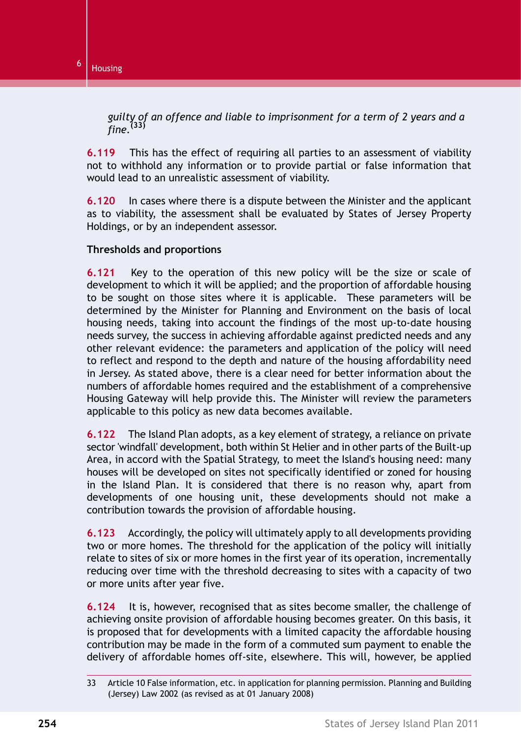*guilty of an offence and liable to imprisonment for a term of 2 years and a fine.***(33)**

**6.119** This has the effect of requiring all parties to an assessment of viability not to withhold any information or to provide partial or false information that would lead to an unrealistic assessment of viability.

**6.120** In cases where there is a dispute between the Minister and the applicant as to viability, the assessment shall be evaluated by States of Jersey Property Holdings, or by an independent assessor.

#### **Thresholds and proportions**

**6.121** Key to the operation of this new policy will be the size or scale of development to which it will be applied; and the proportion of affordable housing to be sought on those sites where it is applicable. These parameters will be determined by the Minister for Planning and Environment on the basis of local housing needs, taking into account the findings of the most up-to-date housing needs survey, the success in achieving affordable against predicted needs and any other relevant evidence: the parameters and application of the policy will need to reflect and respond to the depth and nature of the housing affordability need in Jersey. As stated above, there is a clear need for better information about the numbers of affordable homes required and the establishment of a comprehensive Housing Gateway will help provide this. The Minister will review the parameters applicable to this policy as new data becomes available.

**6.122** The Island Plan adopts, as a key element of strategy, a reliance on private sector 'windfall' development, both within St Helier and in other parts of the Built-up Area, in accord with the Spatial Strategy, to meet the Island's housing need: many houses will be developed on sites not specifically identified or zoned for housing in the Island Plan. It is considered that there is no reason why, apart from developments of one housing unit, these developments should not make a contribution towards the provision of affordable housing.

**6.123** Accordingly, the policy will ultimately apply to all developments providing two or more homes. The threshold for the application of the policy will initially relate to sites of six or more homes in the first year of its operation, incrementally reducing over time with the threshold decreasing to sites with a capacity of two or more units after year five.

**6.124** It is, however, recognised that as sites become smaller, the challenge of achieving onsite provision of affordable housing becomes greater. On this basis, it is proposed that for developments with a limited capacity the affordable housing contribution may be made in the form of a commuted sum payment to enable the delivery of affordable homes off-site, elsewhere. This will, however, be applied

<sup>33</sup> Article 10 False information, etc. in application for planning permission. Planning and Building (Jersey) Law 2002 (as revised as at 01 January 2008)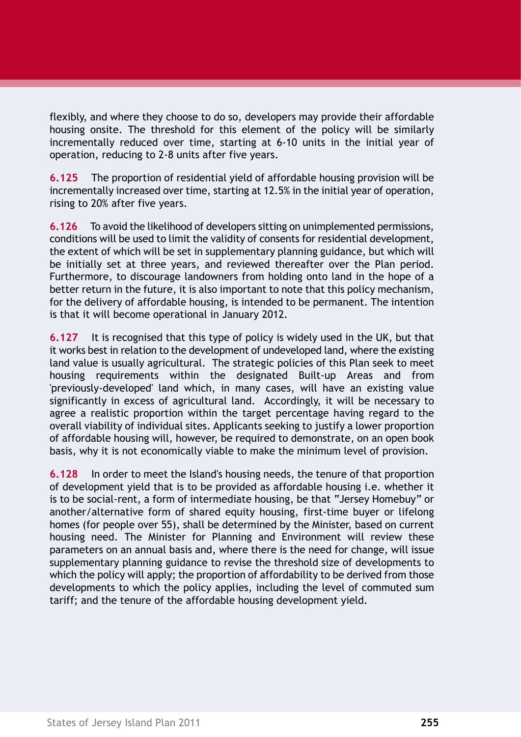flexibly, and where they choose to do so, developers may provide their affordable housing onsite. The threshold for this element of the policy will be similarly incrementally reduced over time, starting at 6-10 units in the initial year of operation, reducing to 2-8 units after five years.

**6.125** The proportion of residential yield of affordable housing provision will be incrementally increased over time, starting at 12.5% in the initial year of operation, rising to 20% after five years.

**6.126** To avoid the likelihood of developers sitting on unimplemented permissions, conditions will be used to limit the validity of consents for residential development, the extent of which will be set in supplementary planning guidance, but which will be initially set at three years, and reviewed thereafter over the Plan period. Furthermore, to discourage landowners from holding onto land in the hope of a better return in the future, it is also important to note that this policy mechanism, for the delivery of affordable housing, is intended to be permanent. The intention is that it will become operational in January 2012.

**6.127** It is recognised that this type of policy is widely used in the UK, but that it works best in relation to the development of undeveloped land, where the existing land value is usually agricultural. The strategic policies of this Plan seek to meet housing requirements within the designated Built-up Areas and from 'previously-developed' land which, in many cases, will have an existing value significantly in excess of agricultural land. Accordingly, it will be necessary to agree a realistic proportion within the target percentage having regard to the overall viability of individual sites. Applicants seeking to justify a lower proportion of affordable housing will, however, be required to demonstrate, on an open book basis, why it is not economically viable to make the minimum level of provision.

**6.128** In order to meet the Island's housing needs, the tenure of that proportion of development yield that is to be provided as affordable housing i.e. whether it is to be social-rent, a form of intermediate housing, be that "Jersey Homebuy" or another/alternative form of shared equity housing, first-time buyer or lifelong homes (for people over 55), shall be determined by the Minister, based on current housing need. The Minister for Planning and Environment will review these parameters on an annual basis and, where there is the need for change, will issue supplementary planning guidance to revise the threshold size of developments to which the policy will apply; the proportion of affordability to be derived from those developments to which the policy applies, including the level of commuted sum tariff; and the tenure of the affordable housing development yield.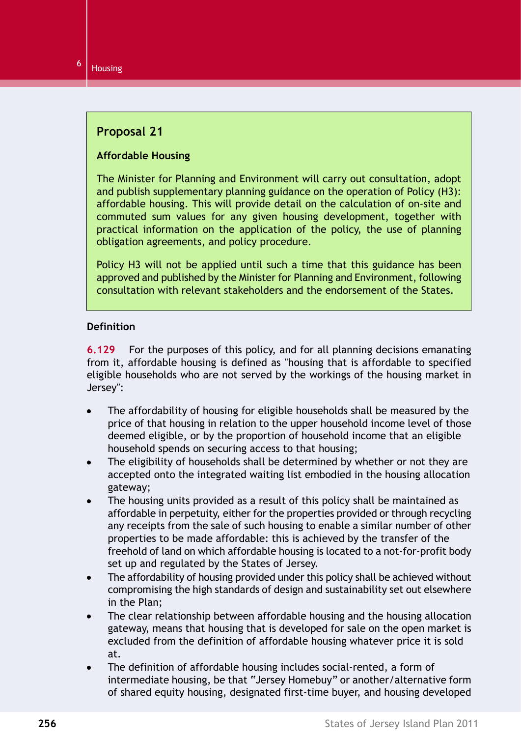### **Proposal 21**

### **Affordable Housing**

The Minister for Planning and Environment will carry out consultation, adopt and publish supplementary planning guidance on the operation of Policy (H3): affordable housing. This will provide detail on the calculation of on-site and commuted sum values for any given housing development, together with practical information on the application of the policy, the use of planning obligation agreements, and policy procedure.

Policy H3 will not be applied until such a time that this guidance has been approved and published by the Minister for Planning and Environment, following consultation with relevant stakeholders and the endorsement of the States.

#### **Definition**

**6.129** For the purposes of this policy, and for all planning decisions emanating from it, affordable housing is defined as "housing that is affordable to specified eligible households who are not served by the workings of the housing market in Jersey":

- The affordability of housing for eligible households shall be measured by the price of that housing in relation to the upper household income level of those deemed eligible, or by the proportion of household income that an eligible household spends on securing access to that housing;
- The eligibility of households shall be determined by whether or not they are  $\bullet$ accepted onto the integrated waiting list embodied in the housing allocation gateway;
- The housing units provided as a result of this policy shall be maintained as affordable in perpetuity, either for the properties provided or through recycling any receipts from the sale of such housing to enable a similar number of other properties to be made affordable: this is achieved by the transfer of the freehold of land on which affordable housing is located to a not-for-profit body set up and regulated by the States of Jersey.
- The affordability of housing provided under this policy shall be achieved without compromising the high standards of design and sustainability set out elsewhere in the Plan;
- The clear relationship between affordable housing and the housing allocation gateway, means that housing that is developed for sale on the open market is excluded from the definition of affordable housing whatever price it is sold at.
- The definition of affordable housing includes social-rented, a form of  $\bullet$ intermediate housing, be that "Jersey Homebuy" or another/alternative form of shared equity housing, designated first-time buyer, and housing developed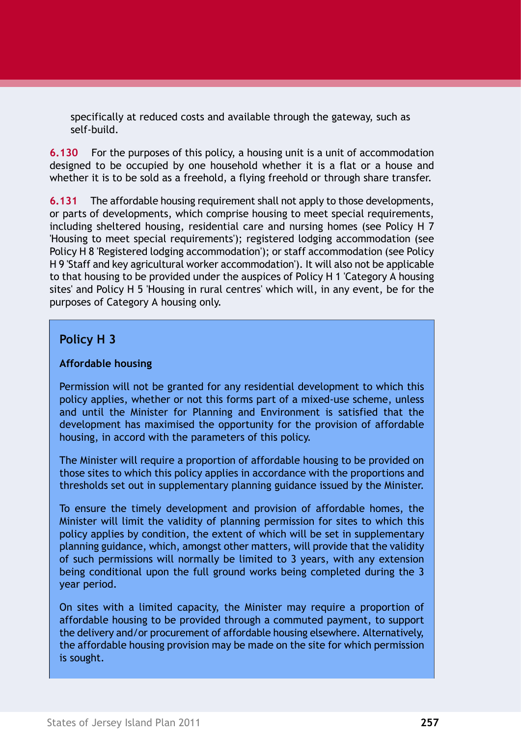specifically at reduced costs and available through the gateway, such as self-build.

**6.130** For the purposes of this policy, a housing unit is a unit of accommodation designed to be occupied by one household whether it is a flat or a house and whether it is to be sold as a freehold, a flying freehold or through share transfer.

**6.131** The affordable housing requirement shall not apply to those developments, or parts of developments, which comprise housing to meet special requirements, including sheltered housing, residential care and nursing homes (see [Policy H 7](#page-39-0) ['Housing to meet special requirements'](#page-39-0)); registered lodging accommodation (see [Policy H 8 'Registered lodging accommodation'](#page-41-0)); or staff accommodation (see [Policy](#page-43-0) [H 9 'Staff and key agricultural worker accommodation'\)](#page-43-0). It will also not be applicable to that housing to be provided under the auspices of [Policy H 1 'Category A housing](#page-23-0) [sites'](#page-23-0) and [Policy H 5 'Housing in rural centres'](#page-36-0) which will, in any event, be for the purposes of Category A housing only.

### <span id="page-32-0"></span>**Policy H 3**

#### **Affordable housing**

Permission will not be granted for any residential development to which this policy applies, whether or not this forms part of a mixed-use scheme, unless and until the Minister for Planning and Environment is satisfied that the development has maximised the opportunity for the provision of affordable housing, in accord with the parameters of this policy.

The Minister will require a proportion of affordable housing to be provided on those sites to which this policy applies in accordance with the proportions and thresholds set out in supplementary planning guidance issued by the Minister.

To ensure the timely development and provision of affordable homes, the Minister will limit the validity of planning permission for sites to which this policy applies by condition, the extent of which will be set in supplementary planning guidance, which, amongst other matters, will provide that the validity of such permissions will normally be limited to 3 years, with any extension being conditional upon the full ground works being completed during the 3 year period.

On sites with a limited capacity, the Minister may require a proportion of affordable housing to be provided through a commuted payment, to support the delivery and/or procurement of affordable housing elsewhere. Alternatively, the affordable housing provision may be made on the site for which permission is sought.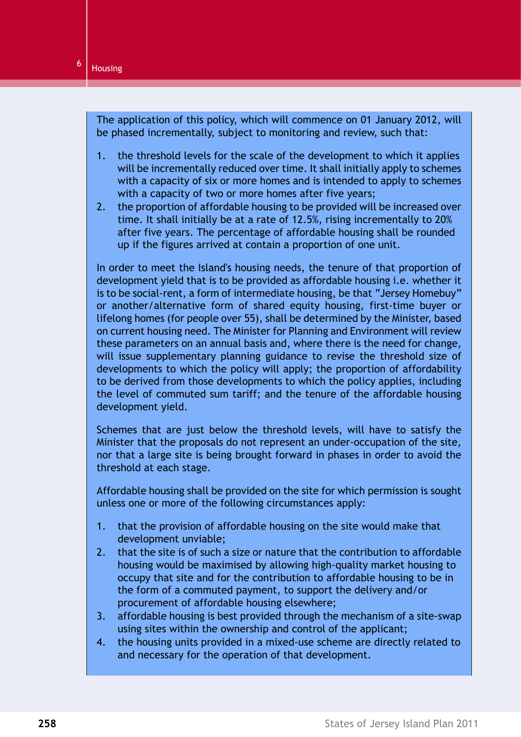The application of this policy, which will commence on 01 January 2012, will be phased incrementally, subject to monitoring and review, such that:

- 1. the threshold levels for the scale of the development to which it applies will be incrementally reduced over time. It shall initially apply to schemes with a capacity of six or more homes and is intended to apply to schemes with a capacity of two or more homes after five years;
- 2. the proportion of affordable housing to be provided will be increased over time. It shall initially be at a rate of 12.5%, rising incrementally to 20% after five years. The percentage of affordable housing shall be rounded up if the figures arrived at contain a proportion of one unit.

In order to meet the Island's housing needs, the tenure of that proportion of development yield that is to be provided as affordable housing i.e. whether it is to be social-rent, a form of intermediate housing, be that "Jersey Homebuy" or another/alternative form of shared equity housing, first-time buyer or lifelong homes (for people over 55), shall be determined by the Minister, based on current housing need. The Minister for Planning and Environment will review these parameters on an annual basis and, where there is the need for change, will issue supplementary planning guidance to revise the threshold size of developments to which the policy will apply; the proportion of affordability to be derived from those developments to which the policy applies, including the level of commuted sum tariff; and the tenure of the affordable housing development yield.

Schemes that are just below the threshold levels, will have to satisfy the Minister that the proposals do not represent an under-occupation of the site, nor that a large site is being brought forward in phases in order to avoid the threshold at each stage.

Affordable housing shall be provided on the site for which permission is sought unless one or more of the following circumstances apply:

- 1. that the provision of affordable housing on the site would make that development unviable;
- 2. that the site is of such a size or nature that the contribution to affordable housing would be maximised by allowing high-quality market housing to occupy that site and for the contribution to affordable housing to be in the form of a commuted payment, to support the delivery and/or procurement of affordable housing elsewhere;
- 3. affordable housing is best provided through the mechanism of a site-swap using sites within the ownership and control of the applicant;
- 4. the housing units provided in a mixed-use scheme are directly related to and necessary for the operation of that development.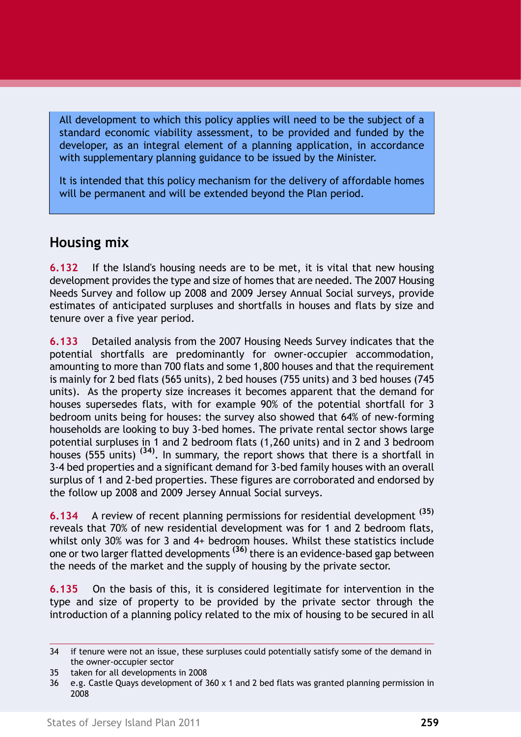All development to which this policy applies will need to be the subject of a standard economic viability assessment, to be provided and funded by the developer, as an integral element of a planning application, in accordance with supplementary planning guidance to be issued by the Minister.

It is intended that this policy mechanism for the delivery of affordable homes will be permanent and will be extended beyond the Plan period.

# **Housing mix**

**6.132** If the Island's housing needs are to be met, it is vital that new housing development provides the type and size of homes that are needed. The 2007 Housing Needs Survey and follow up 2008 and 2009 Jersey Annual Social surveys, provide estimates of anticipated surpluses and shortfalls in houses and flats by size and tenure over a five year period.

**6.133** Detailed analysis from the 2007 Housing Needs Survey indicates that the potential shortfalls are predominantly for owner-occupier accommodation, amounting to more than 700 flats and some 1,800 houses and that the requirement is mainly for 2 bed flats (565 units), 2 bed houses (755 units) and 3 bed houses (745 units). As the property size increases it becomes apparent that the demand for houses supersedes flats, with for example 90% of the potential shortfall for 3 bedroom units being for houses: the survey also showed that 64% of new-forming households are looking to buy 3-bed homes. The private rental sector shows large potential surpluses in 1 and 2 bedroom flats (1,260 units) and in 2 and 3 bedroom houses (555 units) **(34)**. In summary, the report shows that there is a shortfall in 3-4 bed properties and a significant demand for 3-bed family houses with an overall surplus of 1 and 2-bed properties. These figures are corroborated and endorsed by the follow up 2008 and 2009 Jersey Annual Social surveys.

**6.134** A review of recent planning permissions for residential development **(35)** reveals that 70% of new residential development was for 1 and 2 bedroom flats, whilst only 30% was for 3 and 4+ bedroom houses. Whilst these statistics include one or two larger flatted developments **(36)** there is an evidence-based gap between the needs of the market and the supply of housing by the private sector.

**6.135** On the basis of this, it is considered legitimate for intervention in the type and size of property to be provided by the private sector through the introduction of a planning policy related to the mix of housing to be secured in all

<sup>34</sup> if tenure were not an issue, these surpluses could potentially satisfy some of the demand in the owner-occupier sector

<sup>35</sup> taken for all developments in 2008

<sup>36</sup> e.g. Castle Quays development of 360 x 1 and 2 bed flats was granted planning permission in 2008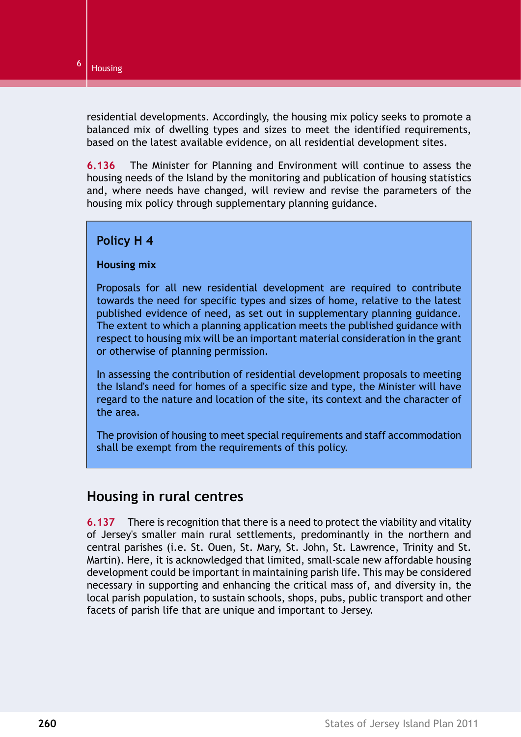residential developments. Accordingly, the housing mix policy seeks to promote a balanced mix of dwelling types and sizes to meet the identified requirements, based on the latest available evidence, on all residential development sites.

**6.136** The Minister for Planning and Environment will continue to assess the housing needs of the Island by the monitoring and publication of housing statistics and, where needs have changed, will review and revise the parameters of the housing mix policy through supplementary planning guidance.

### <span id="page-35-0"></span>**Policy H 4**

#### **Housing mix**

Proposals for all new residential development are required to contribute towards the need for specific types and sizes of home, relative to the latest published evidence of need, as set out in supplementary planning guidance. The extent to which a planning application meets the published guidance with respect to housing mix will be an important material consideration in the grant or otherwise of planning permission.

In assessing the contribution of residential development proposals to meeting the Island's need for homes of a specific size and type, the Minister will have regard to the nature and location of the site, its context and the character of the area.

The provision of housing to meet special requirements and staff accommodation shall be exempt from the requirements of this policy.

## **Housing in rural centres**

**6.137** There is recognition that there is a need to protect the viability and vitality of Jersey's smaller main rural settlements, predominantly in the northern and central parishes (i.e. St. Ouen, St. Mary, St. John, St. Lawrence, Trinity and St. Martin). Here, it is acknowledged that limited, small-scale new affordable housing development could be important in maintaining parish life. This may be considered necessary in supporting and enhancing the critical mass of, and diversity in, the local parish population, to sustain schools, shops, pubs, public transport and other facets of parish life that are unique and important to Jersey.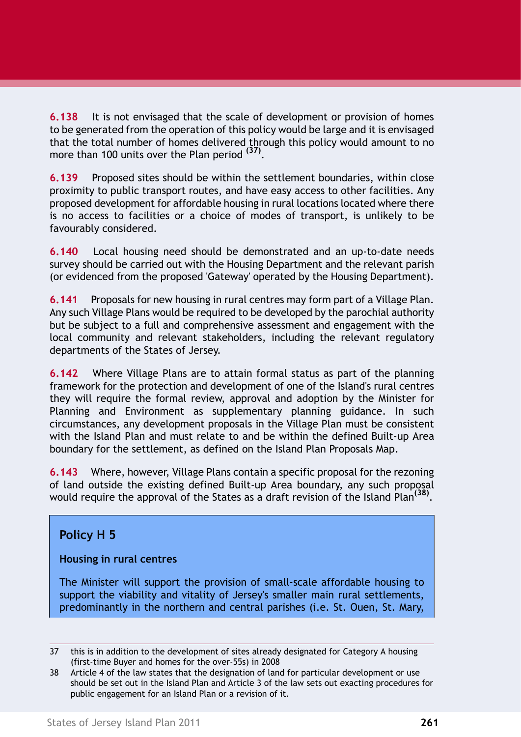**6.138** It is not envisaged that the scale of development or provision of homes to be generated from the operation of this policy would be large and it is envisaged that the total number of homes delivered through this policy would amount to no more than 100 units over the Plan period **(37)** .

**6.139** Proposed sites should be within the settlement boundaries, within close proximity to public transport routes, and have easy access to other facilities. Any proposed development for affordable housing in rural locations located where there is no access to facilities or a choice of modes of transport, is unlikely to be favourably considered.

**6.140** Local housing need should be demonstrated and an up-to-date needs survey should be carried out with the Housing Department and the relevant parish (or evidenced from the proposed 'Gateway' operated by the Housing Department).

**6.141** Proposals for new housing in rural centres may form part of a Village Plan. Any such Village Plans would be required to be developed by the parochial authority but be subject to a full and comprehensive assessment and engagement with the local community and relevant stakeholders, including the relevant regulatory departments of the States of Jersey.

**6.142** Where Village Plans are to attain formal status as part of the planning framework for the protection and development of one of the Island's rural centres they will require the formal review, approval and adoption by the Minister for Planning and Environment as supplementary planning guidance. In such circumstances, any development proposals in the Village Plan must be consistent with the Island Plan and must relate to and be within the defined Built-up Area boundary for the settlement, as defined on the Island Plan Proposals Map.

<span id="page-36-0"></span>**6.143** Where, however, Village Plans contain a specific proposal for the rezoning of land outside the existing defined Built-up Area boundary, any such proposal would require the approval of the States as a draft revision of the Island Plan**(38)** .

### **Policy H 5**

### **Housing in rural centres**

The Minister will support the provision of small-scale affordable housing to support the viability and vitality of Jersey's smaller main rural settlements, predominantly in the northern and central parishes (i.e. St. Ouen, St. Mary,

<sup>37</sup> this is in addition to the development of sites already designated for Category A housing (first-time Buyer and homes for the over-55s) in 2008

<sup>38</sup> Article 4 of the law states that the designation of land for particular development or use should be set out in the Island Plan and Article 3 of the law sets out exacting procedures for public engagement for an Island Plan or a revision of it.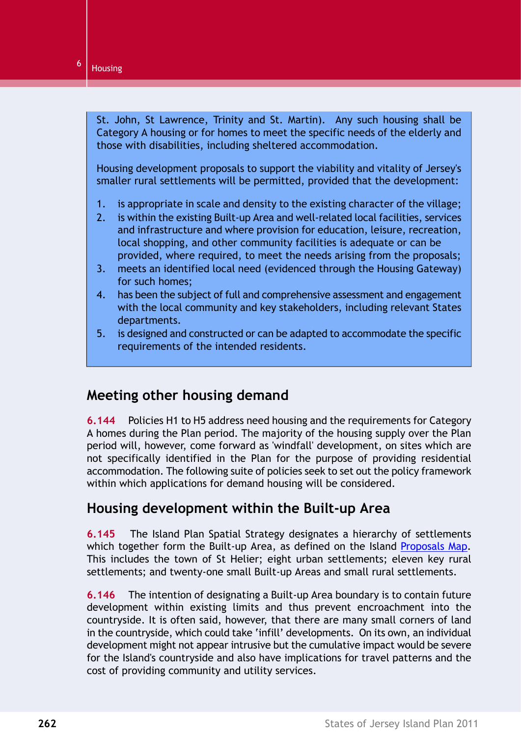St. John, St Lawrence, Trinity and St. Martin). Any such housing shall be Category A housing or for homes to meet the specific needs of the elderly and those with disabilities, including sheltered accommodation.

Housing development proposals to support the viability and vitality of Jersey's smaller rural settlements will be permitted, provided that the development:

- 1. is appropriate in scale and density to the existing character of the village;
- 2. is within the existing Built-up Area and well-related local facilities, services and infrastructure and where provision for education, leisure, recreation, local shopping, and other community facilities is adequate or can be provided, where required, to meet the needs arising from the proposals;
- 3. meets an identified local need (evidenced through the Housing Gateway) for such homes;
- 4. has been the subject of full and comprehensive assessment and engagement with the local community and key stakeholders, including relevant States departments.
- 5. is designed and constructed or can be adapted to accommodate the specific requirements of the intended residents.

## **Meeting other housing demand**

**6.144** Policies H1 to H5 address need housing and the requirements for Category A homes during the Plan period. The majority of the housing supply over the Plan period will, however, come forward as 'windfall' development, on sites which are not specifically identified in the Plan for the purpose of providing residential accommodation. The following suite of policies seek to set out the policy framework within which applications for demand housing will be considered.

### **Housing development within the Built-up Area**

**6.145** The Island Plan Spatial Strategy designates a hierarchy of settlements which together form the Built-up Area, as defined on the Island Proposals Map. This includes the town of St Helier; eight urban settlements; eleven key rural settlements; and twenty-one small Built-up Areas and small rural settlements.

**6.146** The intention of designating a Built-up Area boundary is to contain future development within existing limits and thus prevent encroachment into the countryside. It is often said, however, that there are many small corners of land in the countryside, which could take 'infill' developments. On its own, an individual development might not appear intrusive but the cumulative impact would be severe for the Island's countryside and also have implications for travel patterns and the cost of providing community and utility services.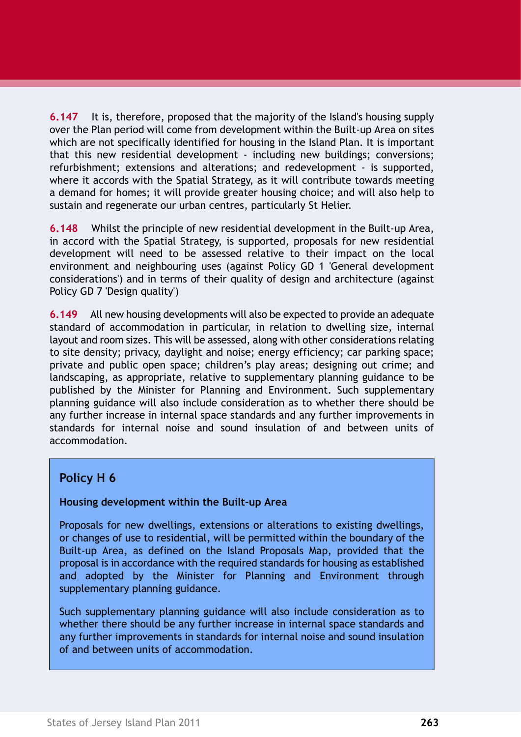**6.147** It is, therefore, proposed that the majority of the Island's housing supply over the Plan period will come from development within the Built-up Area on sites which are not specifically identified for housing in the Island Plan. It is important that this new residential development - including new buildings; conversions; refurbishment; extensions and alterations; and redevelopment - is supported, where it accords with the Spatial Strategy, as it will contribute towards meeting a demand for homes; it will provide greater housing choice; and will also help to sustain and regenerate our urban centres, particularly St Helier.

**6.148** Whilst the principle of new residential development in the Built-up Area, in accord with the Spatial Strategy, is supported, proposals for new residential development will need to be assessed relative to their impact on the local environment and neighbouring uses (against Policy GD 1 'General development considerations') and in terms of their quality of design and architecture (against Policy GD 7 'Design quality')

**6.149** All new housing developments will also be expected to provide an adequate standard of accommodation in particular, in relation to dwelling size, internal layout and room sizes. This will be assessed, along with other considerations relating to site density; privacy, daylight and noise; energy efficiency; car parking space; private and public open space; children's play areas; designing out crime; and landscaping, as appropriate, relative to supplementary planning guidance to be published by the Minister for Planning and Environment. Such supplementary planning guidance will also include consideration as to whether there should be any further increase in internal space standards and any further improvements in standards for internal noise and sound insulation of and between units of accommodation.

### <span id="page-38-0"></span>**Policy H 6**

### **Housing development within the Built-up Area**

Proposals for new dwellings, extensions or alterations to existing dwellings, or changes of use to residential, will be permitted within the boundary of the Built-up Area, as defined on the Island Proposals Map, provided that the proposal is in accordance with the required standards for housing as established and adopted by the Minister for Planning and Environment through supplementary planning guidance.

Such supplementary planning guidance will also include consideration as to whether there should be any further increase in internal space standards and any further improvements in standards for internal noise and sound insulation of and between units of accommodation.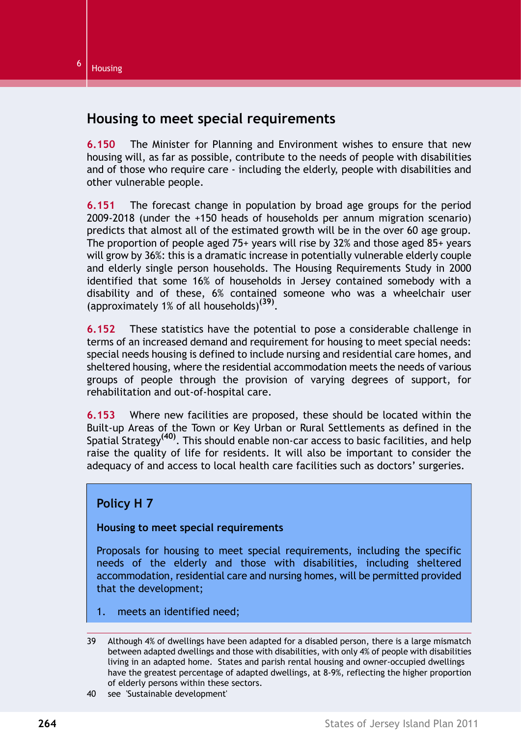## **Housing to meet special requirements**

**6.150** The Minister for Planning and Environment wishes to ensure that new housing will, as far as possible, contribute to the needs of people with disabilities and of those who require care - including the elderly, people with disabilities and other vulnerable people.

**6.151** The forecast change in population by broad age groups for the period 2009-2018 (under the +150 heads of households per annum migration scenario) predicts that almost all of the estimated growth will be in the over 60 age group. The proportion of people aged 75+ years will rise by 32% and those aged 85+ years will grow by 36%: this is a dramatic increase in potentially vulnerable elderly couple and elderly single person households. The Housing Requirements Study in 2000 identified that some 16% of households in Jersey contained somebody with a disability and of these, 6% contained someone who was a wheelchair user (approximately 1% of all households)**(39)** .

**6.152** These statistics have the potential to pose a considerable challenge in terms of an increased demand and requirement for housing to meet special needs: special needs housing is defined to include nursing and residential care homes, and sheltered housing, where the residential accommodation meets the needs of various groups of people through the provision of varying degrees of support, for rehabilitation and out-of-hospital care.

<span id="page-39-0"></span>**6.153** Where new facilities are proposed, these should be located within the Built-up Areas of the Town or Key Urban or Rural Settlements as defined in the Spatial Strategy**(40)**. This should enable non-car access to basic facilities, and help raise the quality of life for residents. It will also be important to consider the adequacy of and access to local health care facilities such as doctors' surgeries.

### **Policy H 7**

### **Housing to meet special requirements**

Proposals for housing to meet special requirements, including the specific needs of the elderly and those with disabilities, including sheltered accommodation, residential care and nursing homes, will be permitted provided that the development;

1. meets an identified need;

40 see 'Sustainable development'

<sup>39</sup> Although 4% of dwellings have been adapted for a disabled person, there is a large mismatch between adapted dwellings and those with disabilities, with only 4% of people with disabilities living in an adapted home. States and parish rental housing and owner-occupied dwellings have the greatest percentage of adapted dwellings, at 8-9%, reflecting the higher proportion of elderly persons within these sectors.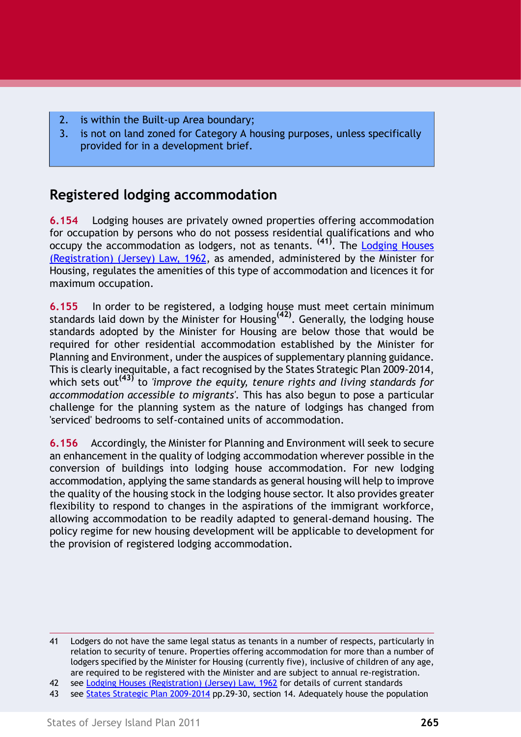- 2. is within the Built-up Area boundary;
- 3. is not on land zoned for Category A housing purposes, unless specifically provided for in a development brief.

# **Registered lodging accommodation**

**6.154** Lodging houses are privately owned properties offering accommodation for occupation by persons who do not possess residential qualifications and who occupy the accommodation as lodgers, not as tenants. **(41)**. The Lodging Houses (Registration) (Jersey) Law, 1962, as amended, administered by the Minister for Housing, regulates the amenities of this type of accommodation and licences it for maximum occupation.

**6.155** In order to be registered, a lodging house must meet certain minimum standards laid down by the Minister for Housing**(42)**. Generally, the lodging house standards adopted by the Minister for Housing are below those that would be required for other residential accommodation established by the Minister for Planning and Environment, under the auspices of supplementary planning guidance. This is clearly inequitable, a fact recognised by the States Strategic Plan 2009-2014, which sets out**(43)** to *'improve the equity, tenure rights and living standards for accommodation accessible to migrants'.* This has also begun to pose a particular challenge for the planning system as the nature of lodgings has changed from 'serviced' bedrooms to self-contained units of accommodation.

**6.156** Accordingly, the Minister for Planning and Environment will seek to secure an enhancement in the quality of lodging accommodation wherever possible in the conversion of buildings into lodging house accommodation. For new lodging accommodation, applying the same standards as general housing will help to improve the quality of the housing stock in the lodging house sector. It also provides greater flexibility to respond to changes in the aspirations of the immigrant workforce, allowing accommodation to be readily adapted to general-demand housing. The policy regime for new housing development will be applicable to development for the provision of registered lodging accommodation.

<sup>41</sup> Lodgers do not have the same legal status as tenants in a number of respects, particularly in relation to security of tenure. Properties offering accommodation for more than a number of lodgers specified by the Minister for Housing (currently five), inclusive of children of any age, are required to be registered with the Minister and are subject to annual re-registration.

<sup>42</sup> see Lodging Houses (Registration) (Jersey) Law, 1962 for details of current standards

<sup>43</sup> see States Strategic Plan 2009-2014 pp.29-30, section 14. Adequately house the population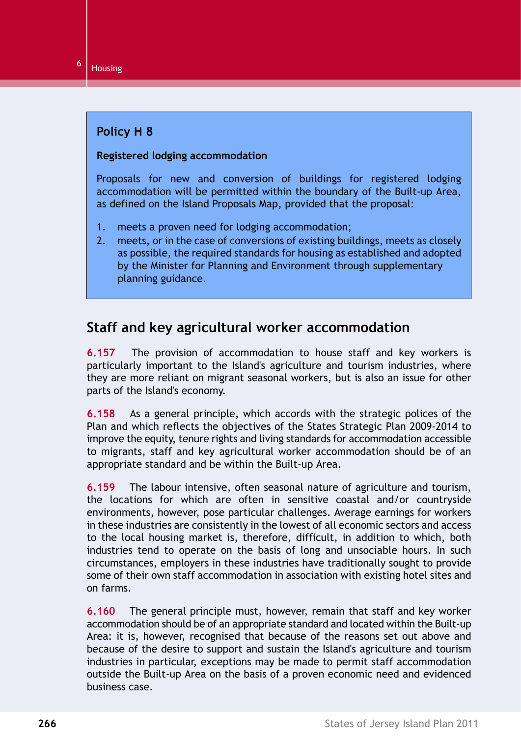### <span id="page-41-0"></span>**Policy H 8**

### **Registered lodging accommodation**

Proposals for new and conversion of buildings for registered lodging accommodation will be permitted within the boundary of the Built-up Area, as defined on the Island Proposals Map, provided that the proposal:

- 1. meets a proven need for lodging accommodation;
- 2. meets, or in the case of conversions of existing buildings, meets as closely as possible, the required standards for housing as established and adopted by the Minister for Planning and Environment through supplementary planning guidance.

# **Staff and key agricultural worker accommodation**

**6.157** The provision of accommodation to house staff and key workers is particularly important to the Island's agriculture and tourism industries, where they are more reliant on migrant seasonal workers, but is also an issue for other parts of the Island's economy.

**6.158** As a general principle, which accords with the strategic polices of the Plan and which reflects the objectives of the States Strategic Plan 2009-2014 to improve the equity, tenure rights and living standards for accommodation accessible to migrants, staff and key agricultural worker accommodation should be of an appropriate standard and be within the Built-up Area.

**6.159** The labour intensive, often seasonal nature of agriculture and tourism, the locations for which are often in sensitive coastal and/or countryside environments, however, pose particular challenges. Average earnings for workers in these industries are consistently in the lowest of all economic sectors and access to the local housing market is, therefore, difficult, in addition to which, both industries tend to operate on the basis of long and unsociable hours. In such circumstances, employers in these industries have traditionally sought to provide some of their own staff accommodation in association with existing hotel sites and on farms.

**6.160** The general principle must, however, remain that staff and key worker accommodation should be of an appropriate standard and located within the Built-up Area: it is, however, recognised that because of the reasons set out above and because of the desire to support and sustain the Island's agriculture and tourism industries in particular, exceptions may be made to permit staff accommodation outside the Built-up Area on the basis of a proven economic need and evidenced business case.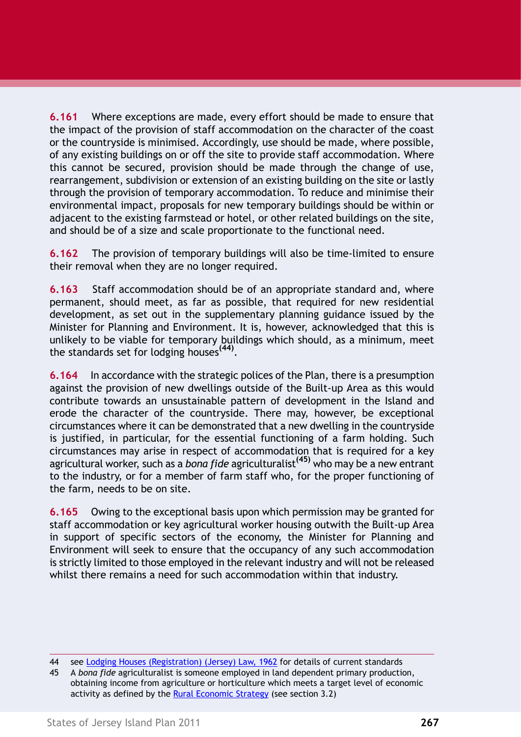**6.161** Where exceptions are made, every effort should be made to ensure that the impact of the provision of staff accommodation on the character of the coast or the countryside is minimised. Accordingly, use should be made, where possible, of any existing buildings on or off the site to provide staff accommodation. Where this cannot be secured, provision should be made through the change of use, rearrangement, subdivision or extension of an existing building on the site or lastly through the provision of temporary accommodation. To reduce and minimise their environmental impact, proposals for new temporary buildings should be within or adjacent to the existing farmstead or hotel, or other related buildings on the site, and should be of a size and scale proportionate to the functional need.

**6.162** The provision of temporary buildings will also be time-limited to ensure their removal when they are no longer required.

**6.163** Staff accommodation should be of an appropriate standard and, where permanent, should meet, as far as possible, that required for new residential development, as set out in the supplementary planning guidance issued by the Minister for Planning and Environment. It is, however, acknowledged that this is unlikely to be viable for temporary buildings which should, as a minimum, meet the standards set for lodging houses**(44)** .

**6.164** In accordance with the strategic polices of the Plan, there is a presumption against the provision of new dwellings outside of the Built-up Area as this would contribute towards an unsustainable pattern of development in the Island and erode the character of the countryside. There may, however, be exceptional circumstances where it can be demonstrated that a new dwelling in the countryside is justified, in particular, for the essential functioning of a farm holding. Such circumstances may arise in respect of accommodation that is required for a key agricultural worker, such as a *bona fide* agriculturalist**(45)** who may be a new entrant to the industry, or for a member of farm staff who, for the proper functioning of the farm, needs to be on site.

**6.165** Owing to the exceptional basis upon which permission may be granted for staff accommodation or key agricultural worker housing outwith the Built-up Area in support of specific sectors of the economy, the Minister for Planning and Environment will seek to ensure that the occupancy of any such accommodation is strictly limited to those employed in the relevant industry and will not be released whilst there remains a need for such accommodation within that industry.

<sup>44</sup> see Lodging Houses (Registration) (Jersey) Law, 1962 for details of current standards

<sup>45</sup> A *bona fide* agriculturalist is someone employed in land dependent primary production, obtaining income from agriculture or horticulture which meets a target level of economic activity as defined by the Rural Economic Strategy (see section 3.2)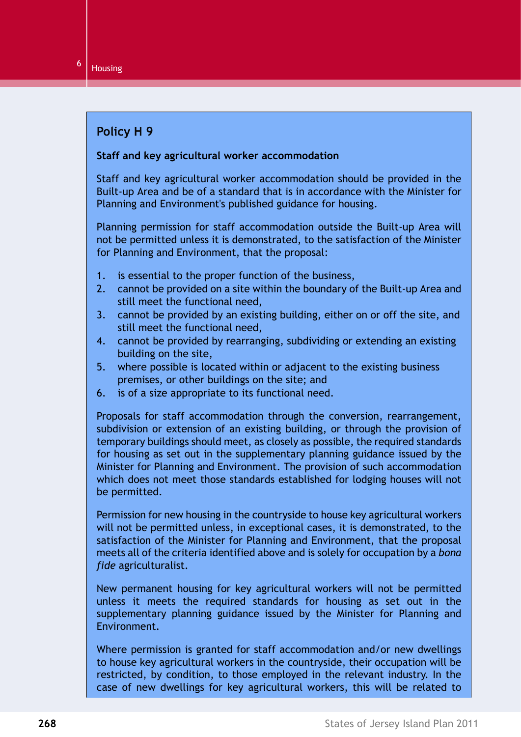### <span id="page-43-0"></span>**Policy H 9**

#### **Staff and key agricultural worker accommodation**

Staff and key agricultural worker accommodation should be provided in the Built-up Area and be of a standard that is in accordance with the Minister for Planning and Environment's published guidance for housing.

Planning permission for staff accommodation outside the Built-up Area will not be permitted unless it is demonstrated, to the satisfaction of the Minister for Planning and Environment, that the proposal:

- 1. is essential to the proper function of the business,
- 2. cannot be provided on a site within the boundary of the Built-up Area and still meet the functional need,
- 3. cannot be provided by an existing building, either on or off the site, and still meet the functional need,
- 4. cannot be provided by rearranging, subdividing or extending an existing building on the site,
- 5. where possible is located within or adjacent to the existing business premises, or other buildings on the site; and
- 6. is of a size appropriate to its functional need.

Proposals for staff accommodation through the conversion, rearrangement, subdivision or extension of an existing building, or through the provision of temporary buildings should meet, as closely as possible, the required standards for housing as set out in the supplementary planning guidance issued by the Minister for Planning and Environment. The provision of such accommodation which does not meet those standards established for lodging houses will not be permitted.

Permission for new housing in the countryside to house key agricultural workers will not be permitted unless, in exceptional cases, it is demonstrated, to the satisfaction of the Minister for Planning and Environment, that the proposal meets all of the criteria identified above and is solely for occupation by a *bona fide* agriculturalist.

New permanent housing for key agricultural workers will not be permitted unless it meets the required standards for housing as set out in the supplementary planning guidance issued by the Minister for Planning and Environment.

Where permission is granted for staff accommodation and/or new dwellings to house key agricultural workers in the countryside, their occupation will be restricted, by condition, to those employed in the relevant industry. In the case of new dwellings for key agricultural workers, this will be related to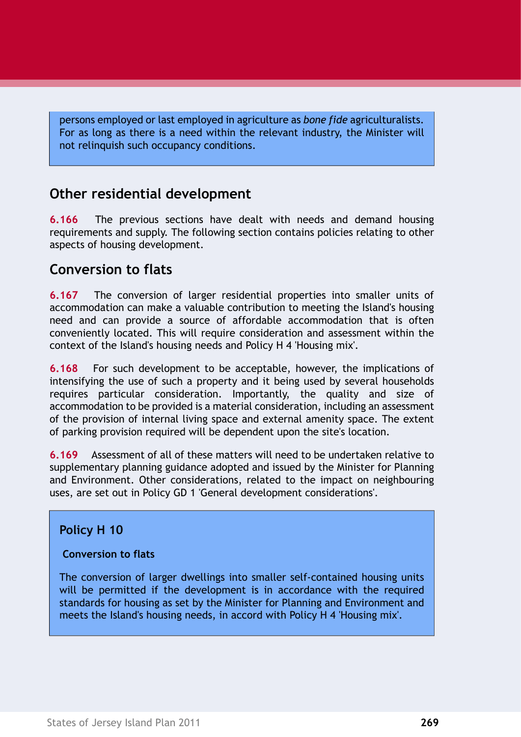persons employed or last employed in agriculture as *bone fide* agriculturalists. For as long as there is a need within the relevant industry, the Minister will not relinquish such occupancy conditions.

# **Other residential development**

**6.166** The previous sections have dealt with needs and demand housing requirements and supply. The following section contains policies relating to other aspects of housing development.

## **Conversion to flats**

**6.167** The conversion of larger residential properties into smaller units of accommodation can make a valuable contribution to meeting the Island's housing need and can provide a source of affordable accommodation that is often conveniently located. This will require consideration and assessment within the context of the Island's housing needs and [Policy H 4 'Housing mix'.](#page-35-0)

**6.168** For such development to be acceptable, however, the implications of intensifying the use of such a property and it being used by several households requires particular consideration. Importantly, the quality and size of accommodation to be provided is a material consideration, including an assessment of the provision of internal living space and external amenity space. The extent of parking provision required will be dependent upon the site's location.

**6.169** Assessment of all of these matters will need to be undertaken relative to supplementary planning guidance adopted and issued by the Minister for Planning and Environment. Other considerations, related to the impact on neighbouring uses, are set out in Policy GD 1 'General development considerations'.

### **Policy H 10**

### **Conversion to flats**

The conversion of larger dwellings into smaller self-contained housing units will be permitted if the development is in accordance with the required standards for housing as set by the Minister for Planning and Environment and meets the Island's housing needs, in accord with [Policy H 4 'Housing mix'.](#page-35-0)